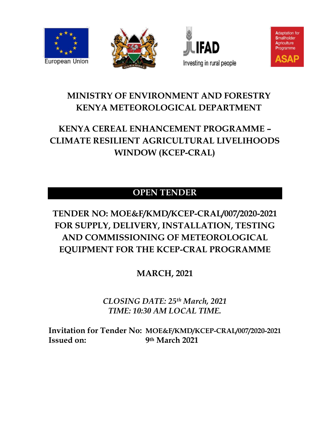







# <span id="page-0-0"></span>**MINISTRY OF ENVIRONMENT AND FORESTRY KENYA METEOROLOGICAL DEPARTMENT**

# <span id="page-0-1"></span>**KENYA CEREAL ENHANCEMENT PROGRAMME – CLIMATE RESILIENT AGRICULTURAL LIVELIHOODS WINDOW (KCEP-CRAL)**

# **OPEN TENDER**

# **TENDER NO: MOE&F/KMD/KCEP-CRAL/007/2020-2021 FOR SUPPLY, DELIVERY, INSTALLATION, TESTING AND COMMISSIONING OF METEOROLOGICAL EQUIPMENT FOR THE KCEP-CRAL PROGRAMME**

**MARCH, 2021**

*CLOSING DATE: 25th March, 2021 TIME: 10:30 AM LOCAL TIME.*

**Invitation for Tender No: MOE&F/KMD/KCEP-CRAL/007/2020-2021 Issued on: 9th March 2021**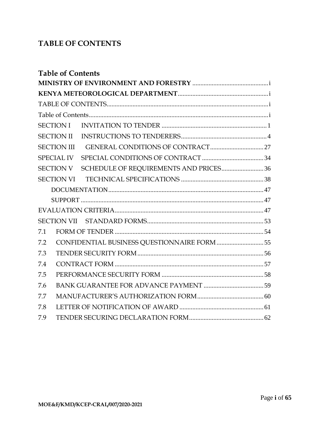# <span id="page-1-0"></span>**TABLE OF CONTENTS**

<span id="page-1-1"></span>

| <b>Table of Contents</b> |                                        |  |
|--------------------------|----------------------------------------|--|
|                          |                                        |  |
|                          |                                        |  |
|                          |                                        |  |
|                          |                                        |  |
| <b>SECTION I</b>         |                                        |  |
| <b>SECTION II</b>        |                                        |  |
| <b>SECTION III</b>       |                                        |  |
| <b>SPECIAL IV</b>        |                                        |  |
| <b>SECTION V</b>         | SCHEDULE OF REQUIREMENTS AND PRICES 36 |  |
|                          |                                        |  |
|                          |                                        |  |
|                          |                                        |  |
|                          |                                        |  |
|                          |                                        |  |
| 7.1                      |                                        |  |
| 7.2                      |                                        |  |
| 7.3                      |                                        |  |
| 7.4                      |                                        |  |
| 7.5                      |                                        |  |
| 7.6                      |                                        |  |
| 7.7                      |                                        |  |
| 7.8                      |                                        |  |
| 7.9                      |                                        |  |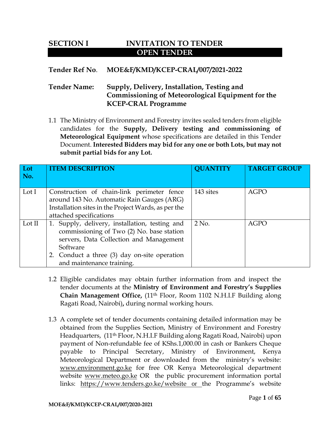# <span id="page-2-0"></span>**SECTION I INVITATION TO TENDER OPEN TENDER**

# **Tender Ref No**. **MOE&F/KMD/KCEP-CRAL/007/2021-2022**

# **Tender Name: Supply, Delivery, Installation, Testing and Commissioning of Meteorological Equipment for the KCEP-CRAL Programme**

1.1 The Ministry of Environment and Forestry invites sealed tenders from eligible candidates for the **Supply, Delivery testing and commissioning of Meteorological Equipment** whose specifications are detailed in this Tender Document. **Interested Bidders may bid for any one or both Lots, but may not submit partial bids for any Lot.**

| Lot<br>No. | <b>ITEM DESCRIPTION</b>                                                                                                                                                                                                         | <b>QUANTITY</b> | <b>TARGET GROUP</b> |
|------------|---------------------------------------------------------------------------------------------------------------------------------------------------------------------------------------------------------------------------------|-----------------|---------------------|
| Lot $I$    | Construction of chain-link perimeter fence<br>around 143 No. Automatic Rain Gauges (ARG)<br>Installation sites in the Project Wards, as per the<br>attached specifications                                                      | 143 sites       | <b>AGPO</b>         |
| Lot II     | 1. Supply, delivery, installation, testing and<br>commissioning of Two (2) No. base station<br>servers, Data Collection and Management<br>Software<br>2. Conduct a three (3) day on-site operation<br>and maintenance training. | $2$ No.         | <b>AGPO</b>         |

- 1.2 Eligible candidates may obtain further information from and inspect the tender documents at the **Ministry of Environment and Forestry's Supplies Chain Management Office,** (11th Floor, Room 1102 N.H.I.F Building along Ragati Road, Nairobi)**,** during normal working hours.
- 1.3 A complete set of tender documents containing detailed information may be obtained from the Supplies Section, Ministry of Environment and Forestry Headquarters, (11th Floor, N.H.I.F Building along Ragati Road, Nairobi) upon payment of Non-refundable fee of KShs.1,000.00 in cash or Bankers Cheque payable to Principal Secretary, Ministry of Environment, Kenya Meteorological Department or downloaded from the ministry's website: [www.environment.go.ke](http://www.environment.go.ke/) for free OR Kenya Meteorological department website [www.meteo.go.ke](http://www.meteo.go.ke/) OR the public procurement information portal links: <https://www.tenders.go.ke/website> or the Programme's website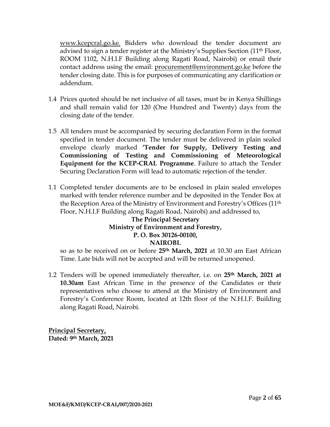[www.kcepcral.go.ke.](http://www.kcepcral.go.ke/) Bidders who download the tender document are advised to sign a tender register at the Ministry's Supplies Section (11th Floor, ROOM 1102, N.H.I.F Building along Ragati Road, Nairobi) or email their contact address using the email: [procurement@environment.go.ke](mailto:procurement@environment.go.ke) before the tender closing date. This is for purposes of communicating any clarification or addendum.

- 1.4 Prices quoted should be net inclusive of all taxes, must be in Kenya Shillings and shall remain valid for 120 (One Hundred and Twenty) days from the closing date of the tender.
- 1.5 All tenders must be accompanied by securing declaration Form in the format specified in tender document. The tender must be delivered in plain sealed envelope clearly marked **'Tender for Supply, Delivery Testing and Commissioning of Testing and Commissioning of Meteorological Equipment for the KCEP-CRAL Programme**. Failure to attach the Tender Securing Declaration Form will lead to automatic rejection of the tender.
- 1.1 Completed tender documents are to be enclosed in plain sealed envelopes marked with tender reference number and be deposited in the Tender Box at the Reception Area of the Ministry of Environment and Forestry's Offices (11th Floor, N.H.I.F Building along Ragati Road, Nairobi) and addressed to,

# **The Principal Secretary Ministry of Environment and Forestry, P. O. Box 30126-00100, NAIROBI.**

so as to be received on or before **25th March, 2021** at 10.30 am East African Time. Late bids will not be accepted and will be returned unopened.

1.2 Tenders will be opened immediately thereafter, i.e. on **25th March, 2021 at 10.30am** East African Time in the presence of the Candidates or their representatives who choose to attend at the Ministry of Environment and Forestry's Conference Room, located at 12th floor of the N.H.I.F. Building along Ragati Road, Nairobi.

**Principal Secretary, Dated: 9th March, 2021**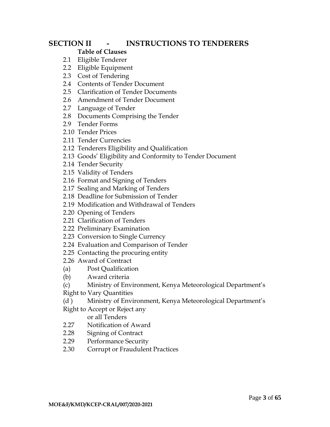# **SECTION II - INSTRUCTIONS TO TENDERERS**

# **Table of Clauses**

- 2.1 Eligible Tenderer
- 2.2 Eligible Equipment
- 2.3 Cost of Tendering
- 2.4 Contents of Tender Document
- 2.5 Clarification of Tender Documents
- 2.6 Amendment of Tender Document
- 2.7 Language of Tender
- 2.8 Documents Comprising the Tender
- 2.9 Tender Forms
- 2.10 Tender Prices
- 2.11 Tender Currencies
- 2.12 Tenderers Eligibility and Qualification
- 2.13 Goods' Eligibility and Conformity to Tender Document
- 2.14 Tender Security
- 2.15 Validity of Tenders
- 2.16 Format and Signing of Tenders
- 2.17 Sealing and Marking of Tenders
- 2.18 Deadline for Submission of Tender
- 2.19 Modification and Withdrawal of Tenders
- 2.20 Opening of Tenders
- 2.21 Clarification of Tenders
- 2.22 Preliminary Examination
- 2.23 Conversion to Single Currency
- 2.24 Evaluation and Comparison of Tender
- 2.25 Contacting the procuring entity
- 2.26 Award of Contract
- (a) Post Qualification
- (b) Award criteria
- (c) Ministry of Environment, Kenya Meteorological Department's
- Right to Vary Quantities
- (d ) Ministry of Environment, Kenya Meteorological Department's
- Right to Accept or Reject any
	- or all Tenders
- 2.27 Notification of Award
- 2.28 Signing of Contract
- 2.29 Performance Security
- 2.30 Corrupt or Fraudulent Practices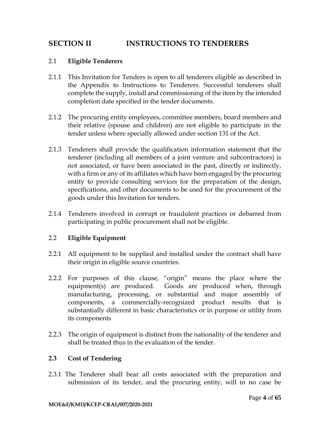# <span id="page-5-0"></span>**SECTION II INSTRUCTIONS TO TENDERERS**

#### 2.1 **Eligible Tenderers**

- 2.1.1 This Invitation for Tenders is open to all tenderers eligible as described in the Appendix to Instructions to Tenderers. Successful tenderers shall complete the supply, install and commissioning of the item by the intended completion date specified in the tender documents.
- 2.1.2 The procuring entity employees, committee members, board members and their relative (spouse and children) are not eligible to participate in the tender unless where specially allowed under section 131 of the Act.
- 2.1.3 Tenderers shall provide the qualification information statement that the tenderer (including all members of a joint venture and subcontractors) is not associated, or have been associated in the past, directly or indirectly, with a firm or any of its affiliates which have been engaged by the procuring entity to provide consulting services for the preparation of the design, specifications, and other documents to be used for the procurement of the goods under this Invitation for tenders.
- 2.1.4 Tenderers involved in corrupt or fraudulent practices or debarred from participating in public procurement shall not be eligible.

#### 2.2 **Eligible Equipment**

- 2.2.1 All equipment to be supplied and installed under the contract shall have their origin in eligible source countries.
- 2.2.2 For purposes of this clause, "origin" means the place where the equipment(s) are produced. Goods are produced when, through manufacturing, processing, or substantial and major assembly of components, a commercially-recognized product results that is substantially different in basic characteristics or in purpose or utility from its components
- 2.2.3 The origin of equipment is distinct from the nationality of the tenderer and shall be treated thus in the evaluation of the tender.

#### **2.3 Cost of Tendering**

2.3.1 The Tenderer shall bear all costs associated with the preparation and submission of its tender, and the procuring entity, will in no case be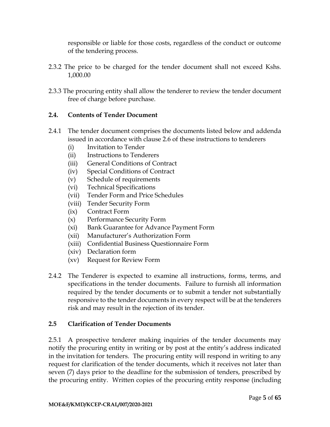responsible or liable for those costs, regardless of the conduct or outcome of the tendering process.

- 2.3.2 The price to be charged for the tender document shall not exceed Kshs. 1,000.00
- 2.3.3 The procuring entity shall allow the tenderer to review the tender document free of charge before purchase.

# **2.4. Contents of Tender Document**

- 2.4.1 The tender document comprises the documents listed below and addenda issued in accordance with clause 2.6 of these instructions to tenderers
	- (i) Invitation to Tender
	- (ii) Instructions to Tenderers
	- (iii) General Conditions of Contract
	- (iv) Special Conditions of Contract
	- (v) Schedule of requirements
	- (vi) Technical Specifications
	- (vii) Tender Form and Price Schedules
	- (viii) Tender Security Form
	- (ix) Contract Form
	- (x) Performance Security Form
	- (xi) Bank Guarantee for Advance Payment Form
	- (xii) Manufacturer's Authorization Form
	- (xiii) Confidential Business Questionnaire Form
	- (xiv) Declaration form
	- (xv) Request for Review Form
- 2.4.2 The Tenderer is expected to examine all instructions, forms, terms, and specifications in the tender documents. Failure to furnish all information required by the tender documents or to submit a tender not substantially responsive to the tender documents in every respect will be at the tenderers risk and may result in the rejection of its tender.

# **2.5 Clarification of Tender Documents**

2.5.1 A prospective tenderer making inquiries of the tender documents may notify the procuring entity in writing or by post at the entity's address indicated in the invitation for tenders. The procuring entity will respond in writing to any request for clarification of the tender documents, which it receives not later than seven (7) days prior to the deadline for the submission of tenders, prescribed by the procuring entity. Written copies of the procuring entity response (including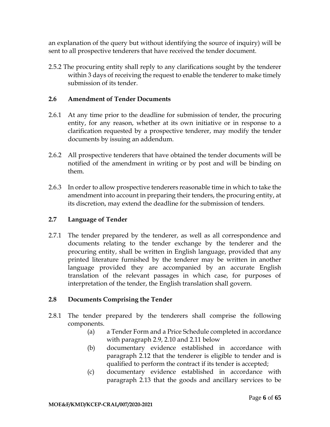an explanation of the query but without identifying the source of inquiry) will be sent to all prospective tenderers that have received the tender document.

2.5.2 The procuring entity shall reply to any clarifications sought by the tenderer within 3 days of receiving the request to enable the tenderer to make timely submission of its tender.

### **2.6 Amendment of Tender Documents**

- 2.6.1 At any time prior to the deadline for submission of tender, the procuring entity, for any reason, whether at its own initiative or in response to a clarification requested by a prospective tenderer, may modify the tender documents by issuing an addendum.
- 2.6.2 All prospective tenderers that have obtained the tender documents will be notified of the amendment in writing or by post and will be binding on them.
- 2.6.3 In order to allow prospective tenderers reasonable time in which to take the amendment into account in preparing their tenders, the procuring entity, at its discretion, may extend the deadline for the submission of tenders.

# **2.7 Language of Tender**

2.7.1 The tender prepared by the tenderer, as well as all correspondence and documents relating to the tender exchange by the tenderer and the procuring entity, shall be written in English language, provided that any printed literature furnished by the tenderer may be written in another language provided they are accompanied by an accurate English translation of the relevant passages in which case, for purposes of interpretation of the tender, the English translation shall govern.

# **2.8 Documents Comprising the Tender**

- 2.8.1 The tender prepared by the tenderers shall comprise the following components.
	- (a) a Tender Form and a Price Schedule completed in accordance with paragraph 2.9, 2.10 and 2.11 below
	- (b) documentary evidence established in accordance with paragraph 2.12 that the tenderer is eligible to tender and is qualified to perform the contract if its tender is accepted;
	- (c) documentary evidence established in accordance with paragraph 2.13 that the goods and ancillary services to be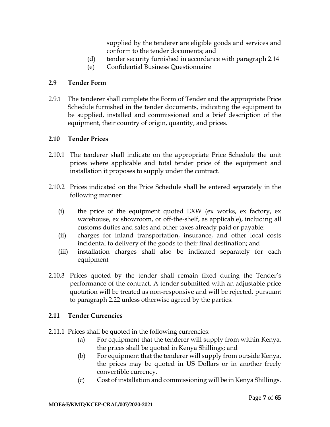supplied by the tenderer are eligible goods and services and conform to the tender documents; and

- (d) tender security furnished in accordance with paragraph 2.14
- (e) Confidential Business Questionnaire

# **2.9 Tender Form**

2.9.1 The tenderer shall complete the Form of Tender and the appropriate Price Schedule furnished in the tender documents, indicating the equipment to be supplied, installed and commissioned and a brief description of the equipment, their country of origin, quantity, and prices.

# **2.10 Tender Prices**

- 2.10.1 The tenderer shall indicate on the appropriate Price Schedule the unit prices where applicable and total tender price of the equipment and installation it proposes to supply under the contract.
- 2.10.2 Prices indicated on the Price Schedule shall be entered separately in the following manner:
	- (i) the price of the equipment quoted EXW (ex works, ex factory, ex warehouse, ex showroom, or off-the-shelf, as applicable), including all customs duties and sales and other taxes already paid or payable:
	- (ii) charges for inland transportation, insurance, and other local costs incidental to delivery of the goods to their final destination; and
	- (iii) installation charges shall also be indicated separately for each equipment
- 2.10.3 Prices quoted by the tender shall remain fixed during the Tender's performance of the contract. A tender submitted with an adjustable price quotation will be treated as non-responsive and will be rejected, pursuant to paragraph 2.22 unless otherwise agreed by the parties.

# **2.11 Tender Currencies**

- 2.11.1 Prices shall be quoted in the following currencies:
	- (a) For equipment that the tenderer will supply from within Kenya, the prices shall be quoted in Kenya Shillings; and
	- (b) For equipment that the tenderer will supply from outside Kenya, the prices may be quoted in US Dollars or in another freely convertible currency.
	- (c) Cost of installation and commissioning will be in Kenya Shillings.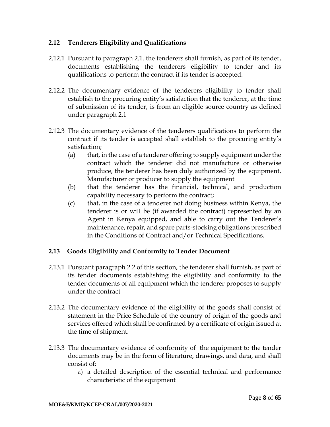# **2.12 Tenderers Eligibility and Qualifications**

- 2.12.1 Pursuant to paragraph 2.1. the tenderers shall furnish, as part of its tender, documents establishing the tenderers eligibility to tender and its qualifications to perform the contract if its tender is accepted.
- 2.12.2 The documentary evidence of the tenderers eligibility to tender shall establish to the procuring entity's satisfaction that the tenderer, at the time of submission of its tender, is from an eligible source country as defined under paragraph 2.1
- 2.12.3 The documentary evidence of the tenderers qualifications to perform the contract if its tender is accepted shall establish to the procuring entity's satisfaction;
	- (a) that, in the case of a tenderer offering to supply equipment under the contract which the tenderer did not manufacture or otherwise produce, the tenderer has been duly authorized by the equipment, Manufacturer or producer to supply the equipment
	- (b) that the tenderer has the financial, technical, and production capability necessary to perform the contract;
	- (c) that, in the case of a tenderer not doing business within Kenya, the tenderer is or will be (if awarded the contract) represented by an Agent in Kenya equipped, and able to carry out the Tenderer's maintenance, repair, and spare parts-stocking obligations prescribed in the Conditions of Contract and/or Technical Specifications.

# **2.13 Goods Eligibility and Conformity to Tender Document**

- 2.13.1 Pursuant paragraph 2.2 of this section, the tenderer shall furnish, as part of its tender documents establishing the eligibility and conformity to the tender documents of all equipment which the tenderer proposes to supply under the contract
- 2.13.2 The documentary evidence of the eligibility of the goods shall consist of statement in the Price Schedule of the country of origin of the goods and services offered which shall be confirmed by a certificate of origin issued at the time of shipment.
- 2.13.3 The documentary evidence of conformity of the equipment to the tender documents may be in the form of literature, drawings, and data, and shall consist of:
	- a) a detailed description of the essential technical and performance characteristic of the equipment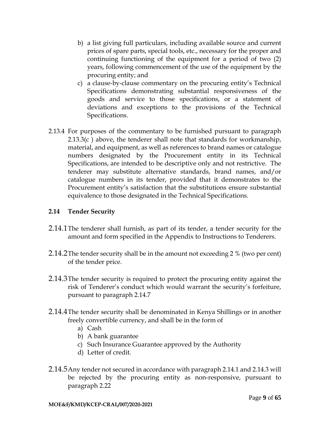- b) a list giving full particulars, including available source and current prices of spare parts, special tools, etc., necessary for the proper and continuing functioning of the equipment for a period of two (2) years, following commencement of the use of the equipment by the procuring entity; and
- c) a clause-by-clause commentary on the procuring entity's Technical Specifications demonstrating substantial responsiveness of the goods and service to those specifications, or a statement of deviations and exceptions to the provisions of the Technical Specifications.
- 2.13.4 For purposes of the commentary to be furnished pursuant to paragraph 2.13.3(c) above, the tenderer shall note that standards for workmanship, material, and equipment, as well as references to brand names or catalogue numbers designated by the Procurement entity in its Technical Specifications, are intended to be descriptive only and not restrictive. The tenderer may substitute alternative standards, brand names, and/or catalogue numbers in its tender, provided that it demonstrates to the Procurement entity's satisfaction that the substitutions ensure substantial equivalence to those designated in the Technical Specifications.

# **2.14 Tender Security**

- 2.14.1The tenderer shall furnish, as part of its tender, a tender security for the amount and form specified in the Appendix to Instructions to Tenderers.
- 2.14.2The tender security shall be in the amount not exceeding 2 % (two per cent) of the tender price.
- 2.14.3The tender security is required to protect the procuring entity against the risk of Tenderer's conduct which would warrant the security's forfeiture, pursuant to paragraph 2.14.7
- 2.14.4The tender security shall be denominated in Kenya Shillings or in another freely convertible currency, and shall be in the form of
	- a) Cash
	- b) A bank guarantee
	- c) Such Insurance Guarantee approved by the Authority
	- d) Letter of credit.
- 2.14.5Any tender not secured in accordance with paragraph 2.14.1 and 2.14.3 will be rejected by the procuring entity as non-responsive, pursuant to paragraph 2.22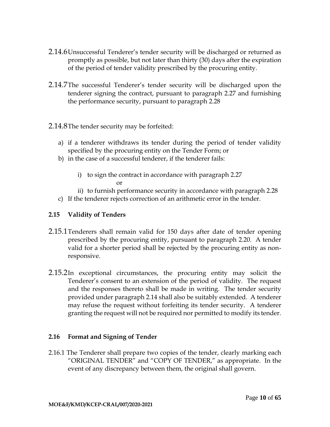- 2.14.6Unsuccessful Tenderer's tender security will be discharged or returned as promptly as possible, but not later than thirty (30) days after the expiration of the period of tender validity prescribed by the procuring entity.
- 2.14.7The successful Tenderer's tender security will be discharged upon the tenderer signing the contract, pursuant to paragraph 2.27 and furnishing the performance security, pursuant to paragraph 2.28
- 2.14.8The tender security may be forfeited:
	- a) if a tenderer withdraws its tender during the period of tender validity specified by the procuring entity on the Tender Form; or
	- b) in the case of a successful tenderer, if the tenderer fails:
		- i) to sign the contract in accordance with paragraph 2.27 or
		- ii) to furnish performance security in accordance with paragraph 2.28
	- c) If the tenderer rejects correction of an arithmetic error in the tender.

# **2.15 Validity of Tenders**

- 2.15.1Tenderers shall remain valid for 150 days after date of tender opening prescribed by the procuring entity, pursuant to paragraph 2.20. A tender valid for a shorter period shall be rejected by the procuring entity as nonresponsive.
- 2.15.2In exceptional circumstances, the procuring entity may solicit the Tenderer's consent to an extension of the period of validity. The request and the responses thereto shall be made in writing. The tender security provided under paragraph 2.14 shall also be suitably extended. A tenderer may refuse the request without forfeiting its tender security. A tenderer granting the request will not be required nor permitted to modify its tender.

# **2.16 Format and Signing of Tender**

2.16.1 The Tenderer shall prepare two copies of the tender, clearly marking each "ORIGINAL TENDER" and "COPY OF TENDER," as appropriate. In the event of any discrepancy between them, the original shall govern.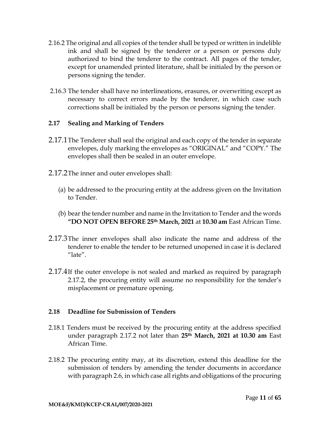- 2.16.2 The original and all copies of the tender shall be typed or written in indelible ink and shall be signed by the tenderer or a person or persons duly authorized to bind the tenderer to the contract. All pages of the tender, except for unamended printed literature, shall be initialed by the person or persons signing the tender.
- 2.16.3 The tender shall have no interlineations, erasures, or overwriting except as necessary to correct errors made by the tenderer, in which case such corrections shall be initialed by the person or persons signing the tender.

# **2.17 Sealing and Marking of Tenders**

- 2.17.1The Tenderer shall seal the original and each copy of the tender in separate envelopes, duly marking the envelopes as "ORIGINAL" and "COPY." The envelopes shall then be sealed in an outer envelope.
- 2.17.2The inner and outer envelopes shall:
	- (a) be addressed to the procuring entity at the address given on the Invitation to Tender.
	- (b) bear the tender number and name in the Invitation to Tender and the words **"DO NOT OPEN BEFORE 25th March, 2021** at **10.30 am** East African Time.
- 2.17.3The inner envelopes shall also indicate the name and address of the tenderer to enable the tender to be returned unopened in case it is declared  $"l$ ate $"$ .
- 2.17.4If the outer envelope is not sealed and marked as required by paragraph 2.17.2, the procuring entity will assume no responsibility for the tender's misplacement or premature opening.

#### **2.18 Deadline for Submission of Tenders**

- 2.18.1 Tenders must be received by the procuring entity at the address specified under paragraph 2.17.2 not later than **25th March, 2021 at 10.30 am** East African Time.
- 2.18.2 The procuring entity may, at its discretion, extend this deadline for the submission of tenders by amending the tender documents in accordance with paragraph 2.6, in which case all rights and obligations of the procuring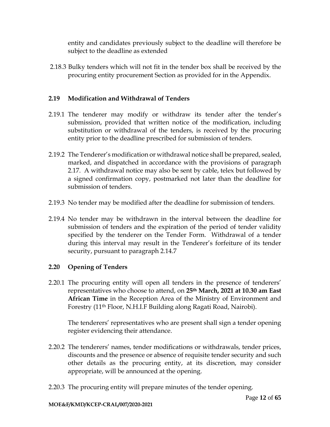entity and candidates previously subject to the deadline will therefore be subject to the deadline as extended

2.18.3 Bulky tenders which will not fit in the tender box shall be received by the procuring entity procurement Section as provided for in the Appendix.

# **2.19 Modification and Withdrawal of Tenders**

- 2.19.1 The tenderer may modify or withdraw its tender after the tender's submission, provided that written notice of the modification, including substitution or withdrawal of the tenders, is received by the procuring entity prior to the deadline prescribed for submission of tenders.
- 2.19.2 The Tenderer's modification or withdrawal notice shall be prepared, sealed, marked, and dispatched in accordance with the provisions of paragraph 2.17. A withdrawal notice may also be sent by cable, telex but followed by a signed confirmation copy, postmarked not later than the deadline for submission of tenders.
- 2.19.3 No tender may be modified after the deadline for submission of tenders.
- 2.19.4 No tender may be withdrawn in the interval between the deadline for submission of tenders and the expiration of the period of tender validity specified by the tenderer on the Tender Form. Withdrawal of a tender during this interval may result in the Tenderer's forfeiture of its tender security, pursuant to paragraph 2.14.7

# **2.20 Opening of Tenders**

2.20.1 The procuring entity will open all tenders in the presence of tenderers' representatives who choose to attend, on **25th March, 2021 at 10.30 am East African Time** in the Reception Area of the Ministry of Environment and Forestry (11th Floor, N.H.I.F Building along Ragati Road, Nairobi).

The tenderers' representatives who are present shall sign a tender opening register evidencing their attendance.

- 2.20.2 The tenderers' names, tender modifications or withdrawals, tender prices, discounts and the presence or absence of requisite tender security and such other details as the procuring entity, at its discretion, may consider appropriate, will be announced at the opening.
- 2.20.3 The procuring entity will prepare minutes of the tender opening.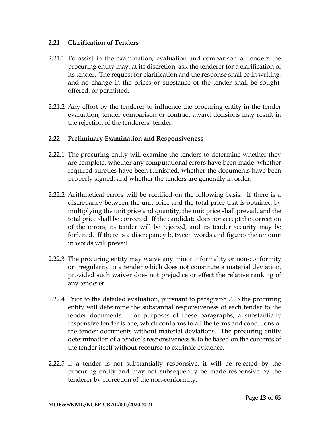#### **2.21 Clarification of Tenders**

- 2.21.1 To assist in the examination, evaluation and comparison of tenders the procuring entity may, at its discretion, ask the tenderer for a clarification of its tender. The request for clarification and the response shall be in writing, and no change in the prices or substance of the tender shall be sought, offered, or permitted.
- 2.21.2 Any effort by the tenderer to influence the procuring entity in the tender evaluation, tender comparison or contract award decisions may result in the rejection of the tenderers' tender.

### **2.22 Preliminary Examination and Responsiveness**

- 2.22.1 The procuring entity will examine the tenders to determine whether they are complete, whether any computational errors have been made, whether required sureties have been furnished, whether the documents have been properly signed, and whether the tenders are generally in order.
- 2.22.2 Arithmetical errors will be rectified on the following basis. If there is a discrepancy between the unit price and the total price that is obtained by multiplying the unit price and quantity, the unit price shall prevail, and the total price shall be corrected. If the candidate does not accept the correction of the errors, its tender will be rejected, and its tender security may be forfeited. If there is a discrepancy between words and figures the amount in words will prevail
- 2.22.3 The procuring entity may waive any minor informality or non-conformity or irregularity in a tender which does not constitute a material deviation, provided such waiver does not prejudice or effect the relative ranking of any tenderer.
- 2.22.4 Prior to the detailed evaluation, pursuant to paragraph 2.23 the procuring entity will determine the substantial responsiveness of each tender to the tender documents. For purposes of these paragraphs, a substantially responsive tender is one, which conforms to all the terms and conditions of the tender documents without material deviations. The procuring entity determination of a tender's responsiveness is to be based on the contents of the tender itself without recourse to extrinsic evidence.
- 2.22.5 If a tender is not substantially responsive, it will be rejected by the procuring entity and may not subsequently be made responsive by the tenderer by correction of the non-conformity.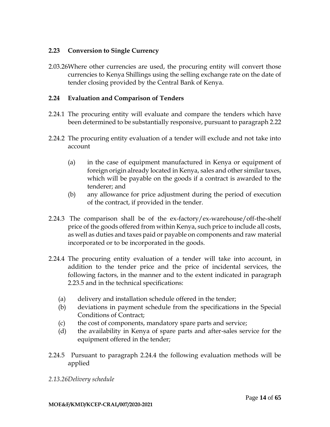### **2.23 Conversion to Single Currency**

2.03.26Where other currencies are used, the procuring entity will convert those currencies to Kenya Shillings using the selling exchange rate on the date of tender closing provided by the Central Bank of Kenya.

### **2.24 Evaluation and Comparison of Tenders**

- 2.24.1 The procuring entity will evaluate and compare the tenders which have been determined to be substantially responsive, pursuant to paragraph 2.22
- 2.24.2 The procuring entity evaluation of a tender will exclude and not take into account
	- (a) in the case of equipment manufactured in Kenya or equipment of foreign origin already located in Kenya, sales and other similar taxes, which will be payable on the goods if a contract is awarded to the tenderer; and
	- (b) any allowance for price adjustment during the period of execution of the contract, if provided in the tender.
- 2.24.3 The comparison shall be of the ex-factory/ex-warehouse/off-the-shelf price of the goods offered from within Kenya, such price to include all costs, as well as duties and taxes paid or payable on components and raw material incorporated or to be incorporated in the goods.
- 2.24.4 The procuring entity evaluation of a tender will take into account, in addition to the tender price and the price of incidental services, the following factors, in the manner and to the extent indicated in paragraph 2.23.5 and in the technical specifications:
	- (a) delivery and installation schedule offered in the tender;
	- (b) deviations in payment schedule from the specifications in the Special Conditions of Contract;
	- (c) the cost of components, mandatory spare parts and service;
	- (d) the availability in Kenya of spare parts and after-sales service for the equipment offered in the tender;
- 2.24.5 Pursuant to paragraph 2.24.4 the following evaluation methods will be applied
- *2.13.26Delivery schedule*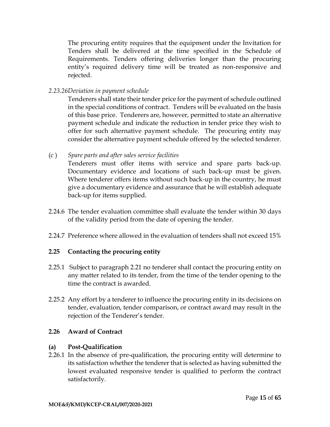The procuring entity requires that the equipment under the Invitation for Tenders shall be delivered at the time specified in the Schedule of Requirements. Tenders offering deliveries longer than the procuring entity's required delivery time will be treated as non-responsive and rejected.

*2.23.26Deviation in payment schedule*

Tenderers shall state their tender price for the payment of schedule outlined in the special conditions of contract. Tenders will be evaluated on the basis of this base price. Tenderers are, however, permitted to state an alternative payment schedule and indicate the reduction in tender price they wish to offer for such alternative payment schedule. The procuring entity may consider the alternative payment schedule offered by the selected tenderer.

(c ) *Spare parts and after sales service facilities*

Tenderers must offer items with service and spare parts back-up. Documentary evidence and locations of such back-up must be given. Where tenderer offers items without such back-up in the country, he must give a documentary evidence and assurance that he will establish adequate back-up for items supplied.

- 2.24.6 The tender evaluation committee shall evaluate the tender within 30 days of the validity period from the date of opening the tender.
- 2.24.7 Preference where allowed in the evaluation of tenders shall not exceed 15%

# **2.25 Contacting the procuring entity**

- 2.25.1 Subject to paragraph 2.21 no tenderer shall contact the procuring entity on any matter related to its tender, from the time of the tender opening to the time the contract is awarded.
- 2.25.2 Any effort by a tenderer to influence the procuring entity in its decisions on tender, evaluation, tender comparison, or contract award may result in the rejection of the Tenderer's tender.

# **2.26 Award of Contract**

# **(a) Post-Qualification**

2.26.1 In the absence of pre-qualification, the procuring entity will determine to its satisfaction whether the tenderer that is selected as having submitted the lowest evaluated responsive tender is qualified to perform the contract satisfactorily.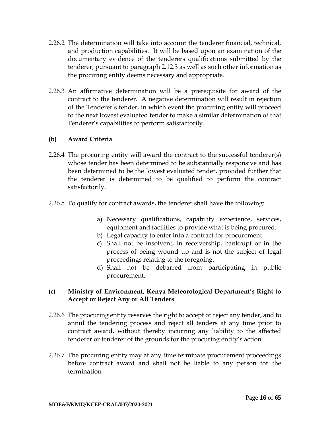- 2.26.2 The determination will take into account the tenderer financial, technical, and production capabilities. It will be based upon an examination of the documentary evidence of the tenderers qualifications submitted by the tenderer, pursuant to paragraph 2.12.3 as well as such other information as the procuring entity deems necessary and appropriate.
- 2.26.3 An affirmative determination will be a prerequisite for award of the contract to the tenderer. A negative determination will result in rejection of the Tenderer's tender, in which event the procuring entity will proceed to the next lowest evaluated tender to make a similar determination of that Tenderer's capabilities to perform satisfactorily.

# **(b) Award Criteria**

- 2.26.4 The procuring entity will award the contract to the successful tenderer(s) whose tender has been determined to be substantially responsive and has been determined to be the lowest evaluated tender, provided further that the tenderer is determined to be qualified to perform the contract satisfactorily.
- 2.26.5 To qualify for contract awards, the tenderer shall have the following:
	- a) Necessary qualifications, capability experience, services, equipment and facilities to provide what is being procured.
	- b) Legal capacity to enter into a contract for procurement
	- c) Shall not be insolvent, in receivership, bankrupt or in the process of being wound up and is not the subject of legal proceedings relating to the foregoing.
	- d) Shall not be debarred from participating in public procurement.

# **(c) Ministry of Environment, Kenya Meteorological Department's Right to Accept or Reject Any or All Tenders**

- 2.26.6 The procuring entity reserves the right to accept or reject any tender, and to annul the tendering process and reject all tenders at any time prior to contract award, without thereby incurring any liability to the affected tenderer or tenderer of the grounds for the procuring entity's action
- 2.26.7 The procuring entity may at any time terminate procurement proceedings before contract award and shall not be liable to any person for the termination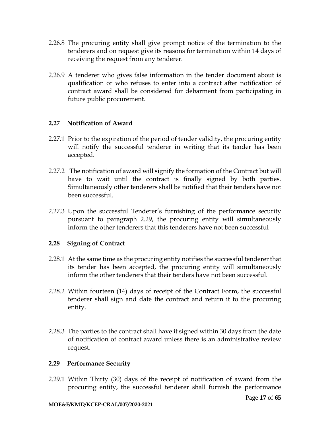- 2.26.8 The procuring entity shall give prompt notice of the termination to the tenderers and on request give its reasons for termination within 14 days of receiving the request from any tenderer.
- 2.26.9 A tenderer who gives false information in the tender document about is qualification or who refuses to enter into a contract after notification of contract award shall be considered for debarment from participating in future public procurement.

# **2.27 Notification of Award**

- 2.27.1 Prior to the expiration of the period of tender validity, the procuring entity will notify the successful tenderer in writing that its tender has been accepted.
- 2.27.2 The notification of award will signify the formation of the Contract but will have to wait until the contract is finally signed by both parties. Simultaneously other tenderers shall be notified that their tenders have not been successful.
- 2.27.3 Upon the successful Tenderer's furnishing of the performance security pursuant to paragraph 2.29, the procuring entity will simultaneously inform the other tenderers that this tenderers have not been successful

# **2.28 Signing of Contract**

- 2.28.1 At the same time as the procuring entity notifies the successful tenderer that its tender has been accepted, the procuring entity will simultaneously inform the other tenderers that their tenders have not been successful.
- 2.28.2 Within fourteen (14) days of receipt of the Contract Form, the successful tenderer shall sign and date the contract and return it to the procuring entity.
- 2.28.3 The parties to the contract shall have it signed within 30 days from the date of notification of contract award unless there is an administrative review request.

#### **2.29 Performance Security**

2.29.1 Within Thirty (30) days of the receipt of notification of award from the procuring entity, the successful tenderer shall furnish the performance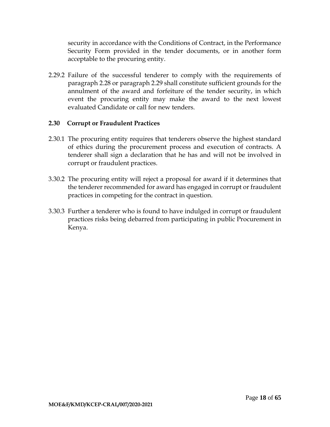security in accordance with the Conditions of Contract, in the Performance Security Form provided in the tender documents, or in another form acceptable to the procuring entity.

2.29.2 Failure of the successful tenderer to comply with the requirements of paragraph 2.28 or paragraph 2.29 shall constitute sufficient grounds for the annulment of the award and forfeiture of the tender security, in which event the procuring entity may make the award to the next lowest evaluated Candidate or call for new tenders.

# **2.30 Corrupt or Fraudulent Practices**

- 2.30.1 The procuring entity requires that tenderers observe the highest standard of ethics during the procurement process and execution of contracts. A tenderer shall sign a declaration that he has and will not be involved in corrupt or fraudulent practices.
- 3.30.2 The procuring entity will reject a proposal for award if it determines that the tenderer recommended for award has engaged in corrupt or fraudulent practices in competing for the contract in question.
- 3.30.3 Further a tenderer who is found to have indulged in corrupt or fraudulent practices risks being debarred from participating in public Procurement in Kenya.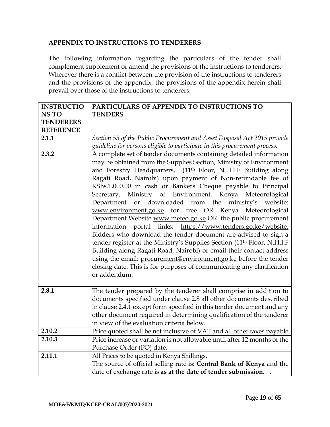#### **APPENDIX TO INSTRUCTIONS TO TENDERERS**

The following information regarding the particulars of the tender shall complement supplement or amend the provisions of the instructions to tenderers. Wherever there is a conflict between the provision of the instructions to tenderers and the provisions of the appendix, the provisions of the appendix herein shall prevail over those of the instructions to tenderers.

| <b>INSTRUCTIO</b> | PARTICULARS OF APPENDIX TO INSTRUCTIONS TO                                          |  |  |  |
|-------------------|-------------------------------------------------------------------------------------|--|--|--|
| <b>NSTO</b>       | <b>TENDERS</b>                                                                      |  |  |  |
| <b>TENDERERS</b>  |                                                                                     |  |  |  |
| <b>REFERENCE</b>  |                                                                                     |  |  |  |
| 2.1.1             | Section 55 of the Public Procurement and Asset Disposal Act 2015 provide            |  |  |  |
|                   | guideline for persons eligible to participate in this procurement process.          |  |  |  |
| 2.3.2             | A complete set of tender documents containing detailed information                  |  |  |  |
|                   | may be obtained from the Supplies Section, Ministry of Environment                  |  |  |  |
|                   | and Forestry Headquarters, (11th Floor, N.H.I.F Building along                      |  |  |  |
|                   | Ragati Road, Nairobi) upon payment of Non-refundable fee of                         |  |  |  |
|                   | KShs.1,000.00 in cash or Bankers Cheque payable to Principal                        |  |  |  |
|                   | Secretary, Ministry of Environment, Kenya Meteorological                            |  |  |  |
|                   | Department or downloaded from the ministry's website:                               |  |  |  |
|                   | www.environment.go.ke for free OR Kenya Meteorological                              |  |  |  |
|                   | Department Website www.meteo.go.ke OR the public procurement                        |  |  |  |
|                   | information portal links: https://www.tenders.go.ke/website.                        |  |  |  |
|                   | Bidders who download the tender document are advised to sign a                      |  |  |  |
|                   | tender register at the Ministry's Supplies Section (11 <sup>th</sup> Floor, N.H.I.F |  |  |  |
|                   | Building along Ragati Road, Nairobi) or email their contact address                 |  |  |  |
|                   | using the email: procurement@environment.go.ke before the tender                    |  |  |  |
|                   | closing date. This is for purposes of communicating any clarification               |  |  |  |
|                   | or addendum.                                                                        |  |  |  |
|                   |                                                                                     |  |  |  |
| 2.8.1             | The tender prepared by the tenderer shall comprise in addition to                   |  |  |  |
|                   | documents specified under clause 2.8 all other documents described                  |  |  |  |
|                   | in clause 2.4.1 except form specified in this tender document and any               |  |  |  |
|                   | other document required in determining qualification of the tenderer                |  |  |  |
|                   | in view of the evaluation criteria below.                                           |  |  |  |
| 2.10.2            | Price quoted shall be net inclusive of VAT and all other taxes payable              |  |  |  |
| 2.10.3            | Price increase or variation is not allowable until after 12 months of the           |  |  |  |
|                   | Purchase Order (PO) date.                                                           |  |  |  |
| 2.11.1            | All Prices to be quoted in Kenya Shillings.                                         |  |  |  |
|                   | The source of official selling rate is: Central Bank of Kenya and the               |  |  |  |
|                   | date of exchange rate is as at the date of tender submission. .                     |  |  |  |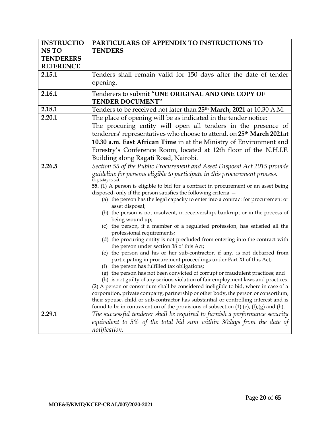| <b>INSTRUCTIO</b> | PARTICULARS OF APPENDIX TO INSTRUCTIONS TO                                                                                                                                |
|-------------------|---------------------------------------------------------------------------------------------------------------------------------------------------------------------------|
| <b>NSTO</b>       | <b>TENDERS</b>                                                                                                                                                            |
| <b>TENDERERS</b>  |                                                                                                                                                                           |
| <b>REFERENCE</b>  |                                                                                                                                                                           |
| 2.15.1            | Tenders shall remain valid for 150 days after the date of tender                                                                                                          |
|                   | opening.                                                                                                                                                                  |
|                   |                                                                                                                                                                           |
| 2.16.1            | Tenderers to submit "ONE ORIGINAL AND ONE COPY OF<br><b>TENDER DOCUMENT"</b>                                                                                              |
| 2.18.1            | Tenders to be received not later than 25 <sup>th</sup> March, 2021 at 10.30 A.M.                                                                                          |
| 2.20.1            | The place of opening will be as indicated in the tender notice:                                                                                                           |
|                   | The procuring entity will open all tenders in the presence of                                                                                                             |
|                   | tenderers' representatives who choose to attend, on 25 <sup>th</sup> March 2021at                                                                                         |
|                   | 10.30 a.m. East African Time in at the Ministry of Environment and                                                                                                        |
|                   | Forestry's Conference Room, located at 12th floor of the N.H.I.F.                                                                                                         |
|                   | Building along Ragati Road, Nairobi.                                                                                                                                      |
| 2.26.5            | Section 55 of the Public Procurement and Asset Disposal Act 2015 provide                                                                                                  |
|                   | guideline for persons eligible to participate in this procurement process.                                                                                                |
|                   | Eligibility to bid.                                                                                                                                                       |
|                   | 55. (1) A person is eligible to bid for a contract in procurement or an asset being                                                                                       |
|                   | disposed, only if the person satisfies the following criteria -                                                                                                           |
|                   | (a) the person has the legal capacity to enter into a contract for procurement or                                                                                         |
|                   | asset disposal;<br>(b) the person is not insolvent, in receivership, bankrupt or in the process of                                                                        |
|                   | being wound up;                                                                                                                                                           |
|                   | (c) the person, if a member of a regulated profession, has satisfied all the                                                                                              |
|                   | professional requirements;                                                                                                                                                |
|                   | (d) the procuring entity is not precluded from entering into the contract with<br>the person under section 38 of this Act;                                                |
|                   | (e) the person and his or her sub-contractor, if any, is not debarred from                                                                                                |
|                   | participating in procurement proceedings under Part XI of this Act;                                                                                                       |
|                   | (f) the person has fulfilled tax obligations;                                                                                                                             |
|                   | (g) the person has not been convicted of corrupt or fraudulent practices; and                                                                                             |
|                   | (h) is not guilty of any serious violation of fair employment laws and practices.<br>(2) A person or consortium shall be considered ineligible to bid, where in case of a |
|                   | corporation, private company, partnership or other body, the person or consortium,                                                                                        |
|                   | their spouse, child or sub-contractor has substantial or controlling interest and is                                                                                      |
|                   | found to be in contravention of the provisions of subsection $(1)$ $(e)$ , $(f)$ , $(g)$ and $(h)$ .                                                                      |
| 2.29.1            | The successful tenderer shall be required to furnish a performance security                                                                                               |
|                   | equivalent to 5% of the total bid sum within 30 days from the date of                                                                                                     |
|                   | notification.                                                                                                                                                             |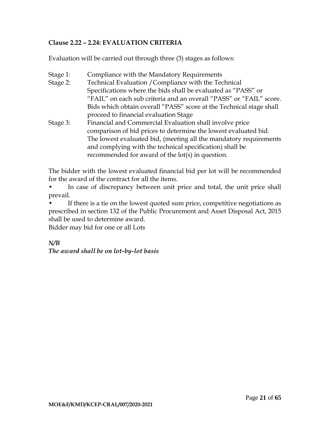# **Clause 2.22 – 2.24: EVALUATION CRITERIA**

Evaluation will be carried out through three (3) stages as follows:

Stage 1: Compliance with the Mandatory Requirements Stage 2: Technical Evaluation /Compliance with the Technical Specifications where the bids shall be evaluated as "PASS" or "FAIL" on each sub criteria and an overall "PASS" or "FAIL" score. Bids which obtain overall "PASS" score at the Technical stage shall proceed to financial evaluation Stage Stage 3: Financial and Commercial Evaluation shall involve price comparison of bid prices to determine the lowest evaluated bid. The lowest evaluated bid, (meeting all the mandatory requirements and complying with the technical specification) shall be recommended for award of the lot(s) in question.

The bidder with the lowest evaluated financial bid per lot will be recommended for the award of the contract for all the items.

• In case of discrepancy between unit price and total, the unit price shall prevail.

If there is a tie on the lowest quoted sum price, competitive negotiations as prescribed in section 132 of the Public Procurement and Asset Disposal Act, 2015 shall be used to determine award.

Bidder may bid for one or all Lots

*N/B*

*The award shall be on lot-by-lot basis*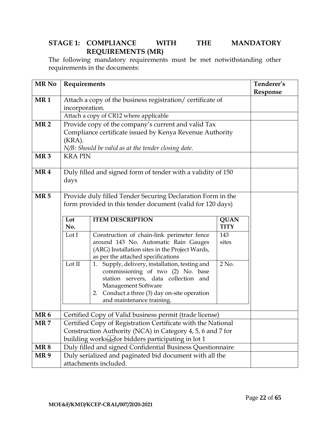# **STAGE 1: COMPLIANCE WITH THE MANDATORY REQUIREMENTS (MR)**

The following mandatory requirements must be met notwithstanding other requirements in the documents:

| MR No                         | Requirements                                                                                                                                                                                    |                                                                                                                                                                                                                                                                                                                                                                                                               |                       | Tenderer's<br>Response |
|-------------------------------|-------------------------------------------------------------------------------------------------------------------------------------------------------------------------------------------------|---------------------------------------------------------------------------------------------------------------------------------------------------------------------------------------------------------------------------------------------------------------------------------------------------------------------------------------------------------------------------------------------------------------|-----------------------|------------------------|
| MR <sub>1</sub>               | Attach a copy of the business registration/ certificate of<br>incorporation.<br>Attach a copy of CR12 where applicable                                                                          |                                                                                                                                                                                                                                                                                                                                                                                                               |                       |                        |
| <b>MR2</b><br>MR <sub>3</sub> | $(KRA)$ .<br><b>KRAPIN</b>                                                                                                                                                                      | Provide copy of the company's current and valid Tax<br>Compliance certificate issued by Kenya Revenue Authority<br>N/B: Should be valid as at the tender closing date.                                                                                                                                                                                                                                        |                       |                        |
| MR4                           | days                                                                                                                                                                                            | Duly filled and signed form of tender with a validity of 150                                                                                                                                                                                                                                                                                                                                                  |                       |                        |
| MR <sub>5</sub>               | Provide duly filled Tender Securing Declaration Form in the<br>form provided in this tender document (valid for 120 days)<br>Lot<br><b>ITEM DESCRIPTION</b><br>No.<br>Lot I                     |                                                                                                                                                                                                                                                                                                                                                                                                               |                       |                        |
|                               | Lot II                                                                                                                                                                                          | Construction of chain-link perimeter fence<br>around 143 No. Automatic Rain Gauges<br>(ARG) Installation sites in the Project Wards,<br>as per the attached specifications<br>1. Supply, delivery, installation, testing and<br>commissioning of two (2) No. base<br>station servers, data collection and<br>Management Software<br>2. Conduct a three (3) day on-site operation<br>and maintenance training. | 143<br>sites<br>2 No. |                        |
| MR <sub>6</sub>               | Certified Copy of Valid business permit (trade license)                                                                                                                                         |                                                                                                                                                                                                                                                                                                                                                                                                               |                       |                        |
| MR 7                          | Certified Copy of Registration Certificate with the National<br>Construction Authority (NCA) in Category 4, 5, 6 and 7 for<br>building works <sup>[17]</sup> for bidders participating in lot 1 |                                                                                                                                                                                                                                                                                                                                                                                                               |                       |                        |
| <b>MR8</b>                    |                                                                                                                                                                                                 | Duly filled and signed Confidential Business Questionnaire                                                                                                                                                                                                                                                                                                                                                    |                       |                        |
| MR <sub>9</sub>               | Duly serialized and paginated bid document with all the<br>attachments included.                                                                                                                |                                                                                                                                                                                                                                                                                                                                                                                                               |                       |                        |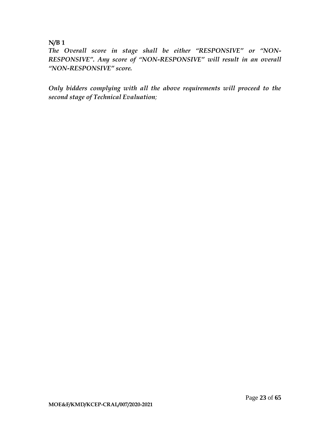# **N/B 1**

*The Overall score in stage shall be either "RESPONSIVE" or "NON-RESPONSIVE". Any score of "NON-RESPONSIVE" will result in an overall "NON-RESPONSIVE" score.*

*Only bidders complying with all the above requirements will proceed to the second stage of Technical Evaluation;*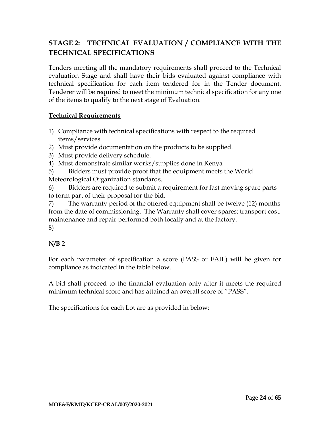# **STAGE 2: TECHNICAL EVALUATION / COMPLIANCE WITH THE TECHNICAL SPECIFICATIONS**

Tenders meeting all the mandatory requirements shall proceed to the Technical evaluation Stage and shall have their bids evaluated against compliance with technical specification for each item tendered for in the Tender document. Tenderer will be required to meet the minimum technical specification for any one of the items to qualify to the next stage of Evaluation.

# **Technical Requirements**

- 1) Compliance with technical specifications with respect to the required items/services.
- 2) Must provide documentation on the products to be supplied.
- 3) Must provide delivery schedule.
- 4) Must demonstrate similar works/supplies done in Kenya
- 5) Bidders must provide proof that the equipment meets the World Meteorological Organization standards.

6) Bidders are required to submit a requirement for fast moving spare parts to form part of their proposal for the bid.

7) The warranty period of the offered equipment shall be twelve (12) months from the date of commissioning. The Warranty shall cover spares; transport cost, maintenance and repair performed both locally and at the factory. 8)

# **N/B 2**

For each parameter of specification a score (PASS or FAIL) will be given for compliance as indicated in the table below.

A bid shall proceed to the financial evaluation only after it meets the required minimum technical score and has attained an overall score of "PASS".

The specifications for each Lot are as provided in below: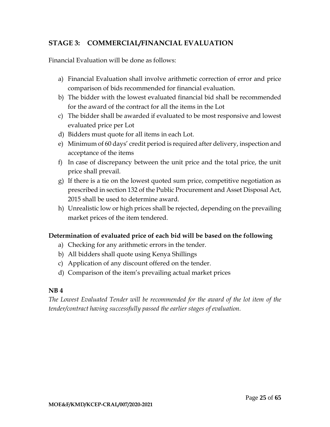# **STAGE 3: COMMERCIAL/FINANCIAL EVALUATION**

Financial Evaluation will be done as follows:

- a) Financial Evaluation shall involve arithmetic correction of error and price comparison of bids recommended for financial evaluation.
- b) The bidder with the lowest evaluated financial bid shall be recommended for the award of the contract for all the items in the Lot
- c) The bidder shall be awarded if evaluated to be most responsive and lowest evaluated price per Lot
- d) Bidders must quote for all items in each Lot.
- e) Minimum of 60 days' credit period is required after delivery, inspection and acceptance of the items
- f) In case of discrepancy between the unit price and the total price, the unit price shall prevail.
- g) If there is a tie on the lowest quoted sum price, competitive negotiation as prescribed in section 132 of the Public Procurement and Asset Disposal Act, 2015 shall be used to determine award.
- h) Unrealistic low or high prices shall be rejected, depending on the prevailing market prices of the item tendered.

# **Determination of evaluated price of each bid will be based on the following**

- a) Checking for any arithmetic errors in the tender.
- b) All bidders shall quote using Kenya Shillings
- c) Application of any discount offered on the tender.
- d) Comparison of the item's prevailing actual market prices

#### **NB 4**

*The Lowest Evaluated Tender will be recommended for the award of the lot item of the tender/contract having successfully passed the earlier stages of evaluation.*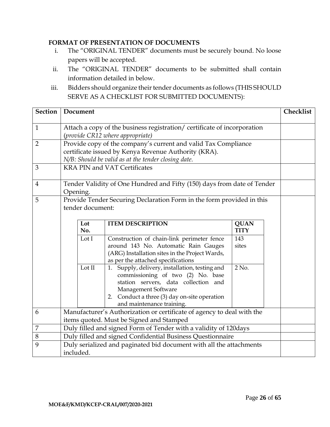### **FORMAT OF PRESENTATION OF DOCUMENTS**

- i. The "ORIGINAL TENDER" documents must be securely bound. No loose papers will be accepted.
- ii. The "ORIGINAL TENDER" documents to be submitted shall contain information detailed in below.
- iii. Bidders should organize their tender documents as follows (THIS SHOULD SERVE AS A CHECKLIST FOR SUBMITTED DOCUMENTS):

| <b>Section</b> | Document                                                                                                           |                                                                                                                                                                                                                                 |                            |  |  |  |
|----------------|--------------------------------------------------------------------------------------------------------------------|---------------------------------------------------------------------------------------------------------------------------------------------------------------------------------------------------------------------------------|----------------------------|--|--|--|
| $\mathbf{1}$   | Attach a copy of the business registration/ certificate of incorporation<br>(provide CR12 where appropriate)       |                                                                                                                                                                                                                                 |                            |  |  |  |
| $\overline{2}$ |                                                                                                                    | Provide copy of the company's current and valid Tax Compliance<br>certificate issued by Kenya Revenue Authority (KRA).<br>N/B: Should be valid as at the tender closing date.                                                   |                            |  |  |  |
| 3              |                                                                                                                    | <b>KRA PIN and VAT Certificates</b>                                                                                                                                                                                             |                            |  |  |  |
| $\overline{4}$ | Opening.                                                                                                           | Tender Validity of One Hundred and Fifty (150) days from date of Tender                                                                                                                                                         |                            |  |  |  |
| 5              | Provide Tender Securing Declaration Form in the form provided in this<br>tender document:                          |                                                                                                                                                                                                                                 |                            |  |  |  |
|                | Lot<br>No.                                                                                                         | <b>ITEM DESCRIPTION</b>                                                                                                                                                                                                         | <b>QUAN</b><br><b>TITY</b> |  |  |  |
|                | Lot I                                                                                                              | Construction of chain-link perimeter fence<br>around 143 No. Automatic Rain Gauges<br>(ARG) Installation sites in the Project Wards,<br>as per the attached specifications                                                      | 143<br>sites               |  |  |  |
|                | Lot II                                                                                                             | 1. Supply, delivery, installation, testing and<br>commissioning of two (2) No. base<br>station servers, data collection and<br>Management Software<br>2. Conduct a three (3) day on-site operation<br>and maintenance training. | $2$ No.                    |  |  |  |
| 6              | Manufacturer's Authorization or certificate of agency to deal with the<br>items quoted. Must be Signed and Stamped |                                                                                                                                                                                                                                 |                            |  |  |  |
| 7              | Duly filled and signed Form of Tender with a validity of 120days                                                   |                                                                                                                                                                                                                                 |                            |  |  |  |
| 8              |                                                                                                                    | Duly filled and signed Confidential Business Questionnaire                                                                                                                                                                      |                            |  |  |  |
| 9              | included.                                                                                                          | Duly serialized and paginated bid document with all the attachments                                                                                                                                                             |                            |  |  |  |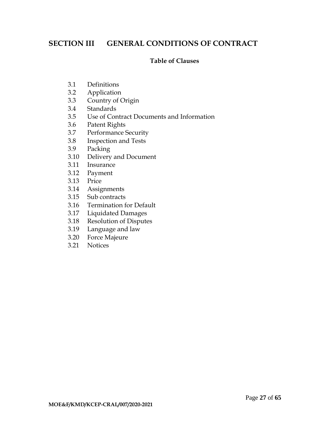# <span id="page-28-0"></span>**SECTION III GENERAL CONDITIONS OF CONTRACT**

#### **Table of Clauses**

- 3.1 Definitions
- 3.2 Application
- 3.3 Country of Origin
- 3.4 Standards
- 3.5 Use of Contract Documents and Information
- 3.6 Patent Rights
- 3.7 Performance Security
- 3.8 Inspection and Tests
- 3.9 Packing
- 3.10 Delivery and Document
- 3.11 Insurance
- 3.12 Payment
- 3.13 Price
- 3.14 Assignments
- 3.15 Sub contracts
- 3.16 Termination for Default
- 3.17 Liquidated Damages
- 3.18 Resolution of Disputes<br>3.19 Language and law
- Language and law
- 3.20 Force Majeure
- 3.21 Notices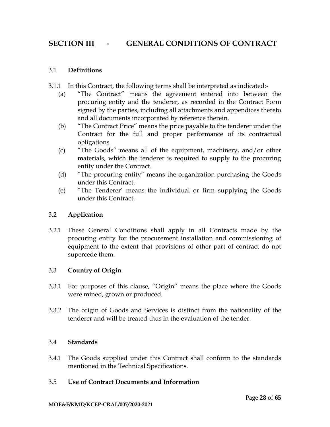# **SECTION III - GENERAL CONDITIONS OF CONTRACT**

#### 3.1 **Definitions**

- 3.1.1 In this Contract, the following terms shall be interpreted as indicated:-
	- (a) "The Contract" means the agreement entered into between the procuring entity and the tenderer, as recorded in the Contract Form signed by the parties, including all attachments and appendices thereto and all documents incorporated by reference therein.
	- (b) "The Contract Price" means the price payable to the tenderer under the Contract for the full and proper performance of its contractual obligations.
	- (c) "The Goods" means all of the equipment, machinery, and/or other materials, which the tenderer is required to supply to the procuring entity under the Contract.
	- (d) "The procuring entity" means the organization purchasing the Goods under this Contract.
	- (e) "The Tenderer' means the individual or firm supplying the Goods under this Contract.

### 3.2 **Application**

3.2.1 These General Conditions shall apply in all Contracts made by the procuring entity for the procurement installation and commissioning of equipment to the extent that provisions of other part of contract do not supercede them.

# 3.3 **Country of Origin**

- 3.3.1 For purposes of this clause, "Origin" means the place where the Goods were mined, grown or produced.
- 3.3.2 The origin of Goods and Services is distinct from the nationality of the tenderer and will be treated thus in the evaluation of the tender.

#### 3.4 **Standards**

3.4.1 The Goods supplied under this Contract shall conform to the standards mentioned in the Technical Specifications.

#### 3.5 **Use of Contract Documents and Information**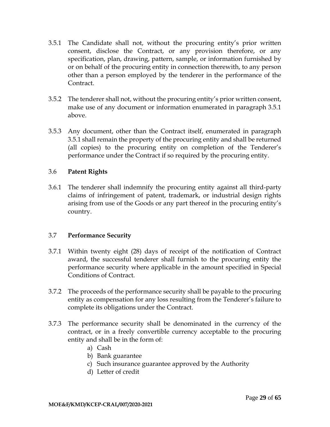- 3.5.1 The Candidate shall not, without the procuring entity's prior written consent, disclose the Contract, or any provision therefore, or any specification, plan, drawing, pattern, sample, or information furnished by or on behalf of the procuring entity in connection therewith, to any person other than a person employed by the tenderer in the performance of the Contract.
- 3.5.2 The tenderer shall not, without the procuring entity's prior written consent, make use of any document or information enumerated in paragraph 3.5.1 above.
- 3.5.3 Any document, other than the Contract itself, enumerated in paragraph 3.5.1 shall remain the property of the procuring entity and shall be returned (all copies) to the procuring entity on completion of the Tenderer's performance under the Contract if so required by the procuring entity.

### 3.6 **Patent Rights**

3.6.1 The tenderer shall indemnify the procuring entity against all third-party claims of infringement of patent, trademark, or industrial design rights arising from use of the Goods or any part thereof in the procuring entity's country.

#### 3.7 **Performance Security**

- 3.7.1 Within twenty eight (28) days of receipt of the notification of Contract award, the successful tenderer shall furnish to the procuring entity the performance security where applicable in the amount specified in Special Conditions of Contract.
- 3.7.2 The proceeds of the performance security shall be payable to the procuring entity as compensation for any loss resulting from the Tenderer's failure to complete its obligations under the Contract.
- 3.7.3 The performance security shall be denominated in the currency of the contract, or in a freely convertible currency acceptable to the procuring entity and shall be in the form of:
	- a) Cash
	- b) Bank guarantee
	- c) Such insurance guarantee approved by the Authority
	- d) Letter of credit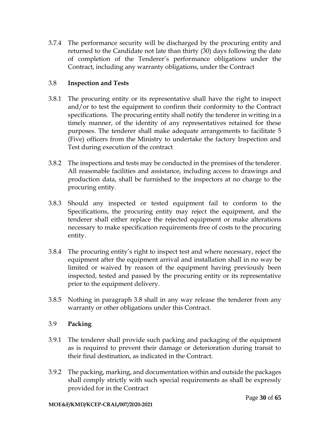3.7.4 The performance security will be discharged by the procuring entity and returned to the Candidate not late than thirty (30) days following the date of completion of the Tenderer's performance obligations under the Contract, including any warranty obligations, under the Contract

# 3.8 **Inspection and Tests**

- 3.8.1 The procuring entity or its representative shall have the right to inspect and/or to test the equipment to confirm their conformity to the Contract specifications. The procuring entity shall notify the tenderer in writing in a timely manner, of the identity of any representatives retained for these purposes. The tenderer shall make adequate arrangements to facilitate 5 (Five) officers from the Ministry to undertake the factory Inspection and Test during execution of the contract
- 3.8.2 The inspections and tests may be conducted in the premises of the tenderer. All reasonable facilities and assistance, including access to drawings and production data, shall be furnished to the inspectors at no charge to the procuring entity.
- 3.8.3 Should any inspected or tested equipment fail to conform to the Specifications, the procuring entity may reject the equipment, and the tenderer shall either replace the rejected equipment or make alterations necessary to make specification requirements free of costs to the procuring entity.
- 3.8.4 The procuring entity's right to inspect test and where necessary, reject the equipment after the equipment arrival and installation shall in no way be limited or waived by reason of the equipment having previously been inspected, tested and passed by the procuring entity or its representative prior to the equipment delivery.
- 3.8.5 Nothing in paragraph 3.8 shall in any way release the tenderer from any warranty or other obligations under this Contract.

# 3.9 **Packing**

- 3.9.1 The tenderer shall provide such packing and packaging of the equipment as is required to prevent their damage or deterioration during transit to their final destination, as indicated in the Contract.
- 3.9.2 The packing, marking, and documentation within and outside the packages shall comply strictly with such special requirements as shall be expressly provided for in the Contract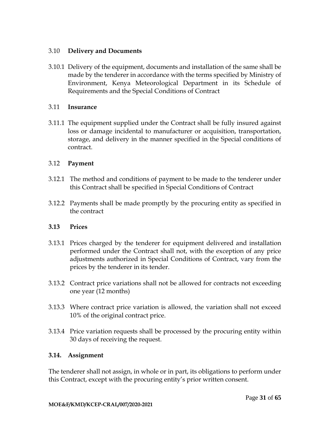#### 3.10 **Delivery and Documents**

3.10.1 Delivery of the equipment, documents and installation of the same shall be made by the tenderer in accordance with the terms specified by Ministry of Environment, Kenya Meteorological Department in its Schedule of Requirements and the Special Conditions of Contract

### 3.11 **Insurance**

3.11.1 The equipment supplied under the Contract shall be fully insured against loss or damage incidental to manufacturer or acquisition, transportation, storage, and delivery in the manner specified in the Special conditions of contract.

### 3.12 **Payment**

- 3.12.1 The method and conditions of payment to be made to the tenderer under this Contract shall be specified in Special Conditions of Contract
- 3.12.2 Payments shall be made promptly by the procuring entity as specified in the contract

# **3.13 Prices**

- 3.13.1 Prices charged by the tenderer for equipment delivered and installation performed under the Contract shall not, with the exception of any price adjustments authorized in Special Conditions of Contract, vary from the prices by the tenderer in its tender.
- 3.13.2 Contract price variations shall not be allowed for contracts not exceeding one year (12 months)
- 3.13.3 Where contract price variation is allowed, the variation shall not exceed 10% of the original contract price.
- 3.13.4 Price variation requests shall be processed by the procuring entity within 30 days of receiving the request.

#### **3.14. Assignment**

The tenderer shall not assign, in whole or in part, its obligations to perform under this Contract, except with the procuring entity's prior written consent.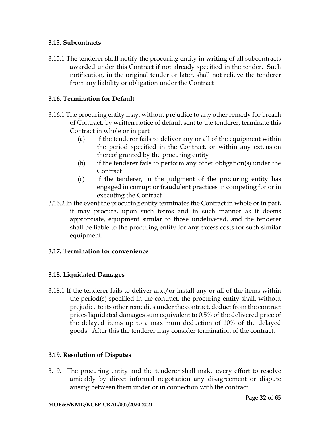#### **3.15. Subcontracts**

3.15.1 The tenderer shall notify the procuring entity in writing of all subcontracts awarded under this Contract if not already specified in the tender. Such notification, in the original tender or later, shall not relieve the tenderer from any liability or obligation under the Contract

# **3.16. Termination for Default**

- 3.16.1 The procuring entity may, without prejudice to any other remedy for breach of Contract, by written notice of default sent to the tenderer, terminate this Contract in whole or in part
	- (a) if the tenderer fails to deliver any or all of the equipment within the period specified in the Contract, or within any extension thereof granted by the procuring entity
	- (b) if the tenderer fails to perform any other obligation(s) under the **Contract**
	- (c) if the tenderer, in the judgment of the procuring entity has engaged in corrupt or fraudulent practices in competing for or in executing the Contract
- 3.16.2 In the event the procuring entity terminates the Contract in whole or in part, it may procure, upon such terms and in such manner as it deems appropriate, equipment similar to those undelivered, and the tenderer shall be liable to the procuring entity for any excess costs for such similar equipment.

# **3.17. Termination for convenience**

# **3.18. Liquidated Damages**

3.18.1 If the tenderer fails to deliver and/or install any or all of the items within the period(s) specified in the contract, the procuring entity shall, without prejudice to its other remedies under the contract, deduct from the contract prices liquidated damages sum equivalent to 0.5% of the delivered price of the delayed items up to a maximum deduction of 10% of the delayed goods. After this the tenderer may consider termination of the contract.

# **3.19. Resolution of Disputes**

3.19.1 The procuring entity and the tenderer shall make every effort to resolve amicably by direct informal negotiation any disagreement or dispute arising between them under or in connection with the contract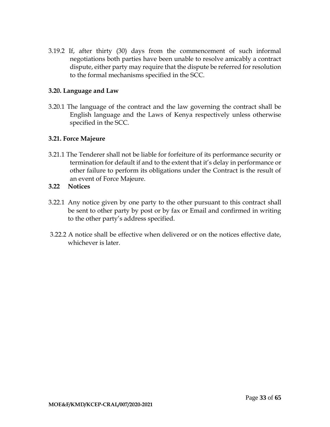3.19.2 If, after thirty (30) days from the commencement of such informal negotiations both parties have been unable to resolve amicably a contract dispute, either party may require that the dispute be referred for resolution to the formal mechanisms specified in the SCC.

### **3.20. Language and Law**

3.20.1 The language of the contract and the law governing the contract shall be English language and the Laws of Kenya respectively unless otherwise specified in the SCC.

### **3.21. Force Majeure**

3.21.1 The Tenderer shall not be liable for forfeiture of its performance security or termination for default if and to the extent that it's delay in performance or other failure to perform its obligations under the Contract is the result of an event of Force Majeure.

### **3.22 Notices**

- 3.22.1 Any notice given by one party to the other pursuant to this contract shall be sent to other party by post or by fax or Email and confirmed in writing to the other party's address specified.
- 3.22.2 A notice shall be effective when delivered or on the notices effective date, whichever is later.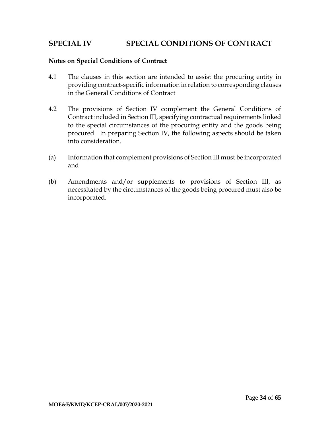# <span id="page-35-0"></span>**SPECIAL IV SPECIAL CONDITIONS OF CONTRACT**

#### **Notes on Special Conditions of Contract**

- 4.1 The clauses in this section are intended to assist the procuring entity in providing contract-specific information in relation to corresponding clauses in the General Conditions of Contract
- 4.2 The provisions of Section IV complement the General Conditions of Contract included in Section III, specifying contractual requirements linked to the special circumstances of the procuring entity and the goods being procured. In preparing Section IV, the following aspects should be taken into consideration.
- (a) Information that complement provisions of Section III must be incorporated and
- (b) Amendments and/or supplements to provisions of Section III, as necessitated by the circumstances of the goods being procured must also be incorporated.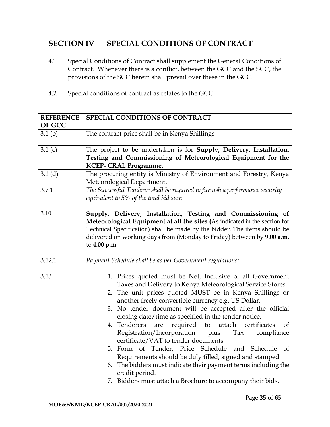# **SECTION IV SPECIAL CONDITIONS OF CONTRACT**

- 4.1 Special Conditions of Contract shall supplement the General Conditions of Contract. Whenever there is a conflict, between the GCC and the SCC, the provisions of the SCC herein shall prevail over these in the GCC.
- 4.2 Special conditions of contract as relates to the GCC

| <b>REFERENCE</b><br><b>OF GCC</b> | <b>SPECIAL CONDITIONS OF CONTRACT</b>                                                                                                                                                                                                                                                                                                                                                                                                                                                                                                                                                                                                                                                                                                                                                                       |  |  |
|-----------------------------------|-------------------------------------------------------------------------------------------------------------------------------------------------------------------------------------------------------------------------------------------------------------------------------------------------------------------------------------------------------------------------------------------------------------------------------------------------------------------------------------------------------------------------------------------------------------------------------------------------------------------------------------------------------------------------------------------------------------------------------------------------------------------------------------------------------------|--|--|
| 3.1(b)                            | The contract price shall be in Kenya Shillings                                                                                                                                                                                                                                                                                                                                                                                                                                                                                                                                                                                                                                                                                                                                                              |  |  |
| 3.1(c)                            | The project to be undertaken is for Supply, Delivery, Installation,<br>Testing and Commissioning of Meteorological Equipment for the<br><b>KCEP- CRAL Programme.</b>                                                                                                                                                                                                                                                                                                                                                                                                                                                                                                                                                                                                                                        |  |  |
| 3.1(d)                            | The procuring entity is Ministry of Environment and Forestry, Kenya<br>Meteorological Department.                                                                                                                                                                                                                                                                                                                                                                                                                                                                                                                                                                                                                                                                                                           |  |  |
| 3.7.1                             | The Successful Tenderer shall be required to furnish a performance security<br>equivalent to 5% of the total bid sum                                                                                                                                                                                                                                                                                                                                                                                                                                                                                                                                                                                                                                                                                        |  |  |
| 3.10                              | Supply, Delivery, Installation, Testing and Commissioning of<br>Meteorological Equipment at all the sites (As indicated in the section for<br>Technical Specification) shall be made by the bidder. The items should be<br>delivered on working days from (Monday to Friday) between by 9.00 a.m.<br>to 4.00 p.m.                                                                                                                                                                                                                                                                                                                                                                                                                                                                                           |  |  |
| 3.12.1                            | Payment Schedule shall be as per Government regulations:                                                                                                                                                                                                                                                                                                                                                                                                                                                                                                                                                                                                                                                                                                                                                    |  |  |
| 3.13                              | 1. Prices quoted must be Net, Inclusive of all Government<br>Taxes and Delivery to Kenya Meteorological Service Stores.<br>2. The unit prices quoted MUST be in Kenya Shillings or<br>another freely convertible currency e.g. US Dollar.<br>3. No tender document will be accepted after the official<br>closing date/time as specified in the tender notice.<br>4. Tenderers<br>required<br>attach<br>certificates<br>to<br>are<br>of<br>Registration/Incorporation<br>plus<br>Tax<br>compliance<br>certificate/VAT to tender documents<br>5. Form of Tender, Price Schedule and Schedule of<br>Requirements should be duly filled, signed and stamped.<br>6. The bidders must indicate their payment terms including the<br>credit period.<br>7. Bidders must attach a Brochure to accompany their bids. |  |  |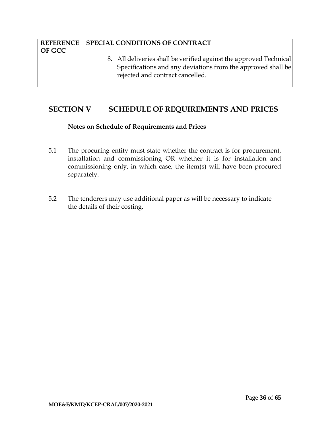|               | <b>REFERENCE   SPECIAL CONDITIONS OF CONTRACT</b>                                                                                                                      |
|---------------|------------------------------------------------------------------------------------------------------------------------------------------------------------------------|
| <b>OF GCC</b> |                                                                                                                                                                        |
|               | 8. All deliveries shall be verified against the approved Technical<br>Specifications and any deviations from the approved shall be<br>rejected and contract cancelled. |

# <span id="page-37-0"></span>**SECTION V SCHEDULE OF REQUIREMENTS AND PRICES**

#### **Notes on Schedule of Requirements and Prices**

- 5.1 The procuring entity must state whether the contract is for procurement, installation and commissioning OR whether it is for installation and commissioning only, in which case, the item(s) will have been procured separately.
- 5.2 The tenderers may use additional paper as will be necessary to indicate the details of their costing.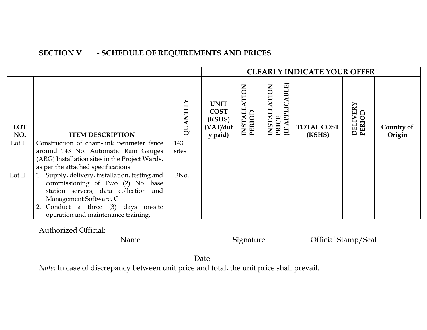# **SECTION V - SCHEDULE OF REQUIREMENTS AND PRICES**

|                   |                                                                                                                                                       |         |                                                             |                                         |                                                     | <b>CLEARLY INDICATE YOUR OFFER</b> |                           |                      |
|-------------------|-------------------------------------------------------------------------------------------------------------------------------------------------------|---------|-------------------------------------------------------------|-----------------------------------------|-----------------------------------------------------|------------------------------------|---------------------------|----------------------|
| <b>LOT</b><br>NO. | <b>ITEM DESCRIPTION</b>                                                                                                                               | QUANTIT | <b>UNIT</b><br><b>COST</b><br>(KSHS)<br>(VAT/dut<br>y paid) | <b>ATION</b><br><b>ITALIS</b><br>PERIOD | PRICE<br>(IF APPLICABLE)<br><b>ATION</b><br>INSTALI | <b>TOTAL COST</b><br>(KSHS)        | <b>DELIVERY</b><br>PERIOD | Country of<br>Origin |
| Lot I             | Construction of chain-link perimeter fence                                                                                                            | 143     |                                                             |                                         |                                                     |                                    |                           |                      |
|                   | around 143 No. Automatic Rain Gauges                                                                                                                  | sites   |                                                             |                                         |                                                     |                                    |                           |                      |
|                   | (ARG) Installation sites in the Project Wards,<br>as per the attached specifications                                                                  |         |                                                             |                                         |                                                     |                                    |                           |                      |
| Lot II            | 1. Supply, delivery, installation, testing and<br>commissioning of Two (2) No. base<br>station servers, data collection and<br>Management Software. C | 2No.    |                                                             |                                         |                                                     |                                    |                           |                      |
|                   | Conduct a three (3) days on-site<br>operation and maintenance training.                                                                               |         |                                                             |                                         |                                                     |                                    |                           |                      |

Authorized Official:

Name Signature Official Stamp/Seal

Date

*Note:* In case of discrepancy between unit price and total, the unit price shall prevail.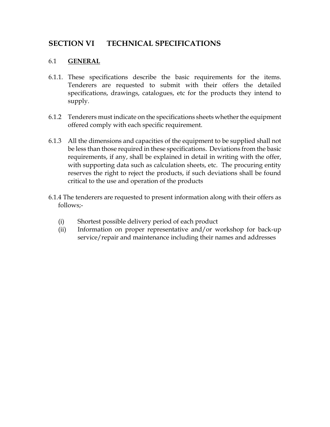# <span id="page-39-0"></span>**SECTION VI TECHNICAL SPECIFICATIONS**

### 6.1 **GENERAL**

- 6.1.1. These specifications describe the basic requirements for the items. Tenderers are requested to submit with their offers the detailed specifications, drawings, catalogues, etc for the products they intend to supply.
- 6.1.2 Tenderers must indicate on the specifications sheets whether the equipment offered comply with each specific requirement.
- 6.1.3 All the dimensions and capacities of the equipment to be supplied shall not be less than those required in these specifications. Deviations from the basic requirements, if any, shall be explained in detail in writing with the offer, with supporting data such as calculation sheets, etc. The procuring entity reserves the right to reject the products, if such deviations shall be found critical to the use and operation of the products
- 6.1.4 The tenderers are requested to present information along with their offers as follows;-
	- (i) Shortest possible delivery period of each product
	- (ii) Information on proper representative and/or workshop for back-up service/repair and maintenance including their names and addresses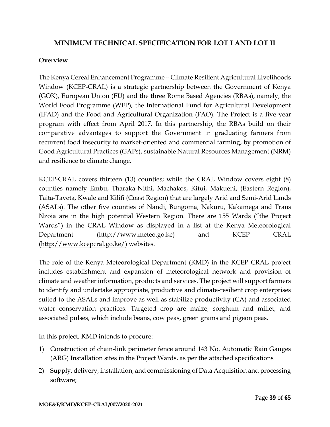# **MINIMUM TECHNICAL SPECIFICATION FOR LOT I AND LOT II**

#### **Overview**

The Kenya Cereal Enhancement Programme – Climate Resilient Agricultural Livelihoods Window (KCEP-CRAL) is a strategic partnership between the Government of Kenya (GOK), European Union (EU) and the three Rome Based Agencies (RBAs), namely, the World Food Programme (WFP), the International Fund for Agricultural Development (IFAD) and the Food and Agricultural Organization (FAO). The Project is a five-year program with effect from April 2017. In this partnership, the RBAs build on their comparative advantages to support the Government in graduating farmers from recurrent food insecurity to market-oriented and commercial farming, by promotion of Good Agricultural Practices (GAPs), sustainable Natural Resources Management (NRM) and resilience to climate change.

KCEP-CRAL covers thirteen (13) counties; while the CRAL Window covers eight (8) counties namely Embu, Tharaka-Nithi, Machakos, Kitui, Makueni, (Eastern Region), Taita-Taveta, Kwale and Kilifi (Coast Region) that are largely Arid and Semi-Arid Lands (ASALs). The other five counties of Nandi, Bungoma, Nakuru, Kakamega and Trans Nzoia are in the high potential Western Region. There are 155 Wards ("the Project Wards") in the CRAL Window as displayed in a list at the Kenya Meteorological Department [\(http://www.meteo.go.ke\)](http://www.meteo.go.ke/) and KCEP CRAL [\(http://www.kcepcral.go.ke/\)](http://www.kcepcral.go.ke/) websites.

The role of the Kenya Meteorological Department (KMD) in the KCEP CRAL project includes establishment and expansion of meteorological network and provision of climate and weather information, products and services. The project will support farmers to identify and undertake appropriate, productive and climate-resilient crop enterprises suited to the ASALs and improve as well as stabilize productivity (CA) and associated water conservation practices. Targeted crop are maize, sorghum and millet; and associated pulses, which include beans, cow peas, green grams and pigeon peas.

In this project, KMD intends to procure:

- 1) Construction of chain-link perimeter fence around 143 No. Automatic Rain Gauges (ARG) Installation sites in the Project Wards, as per the attached specifications
- 2) Supply, delivery, installation, and commissioning of Data Acquisition and processing software;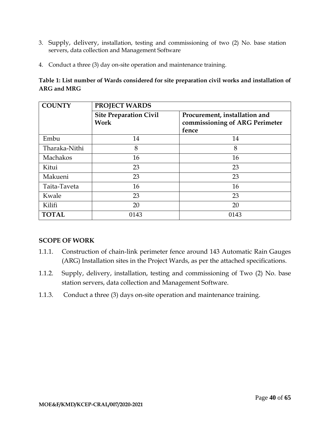- 3. Supply, delivery, installation, testing and commissioning of two (2) No. base station servers, data collection and Management Software
- 4. Conduct a three (3) day on-site operation and maintenance training.

#### **Table 1: List number of Wards considered for site preparation civil works and installation of ARG and MRG**

| <b>COUNTY</b>   | PROJECT WARDS                         |                                                                          |  |
|-----------------|---------------------------------------|--------------------------------------------------------------------------|--|
|                 | <b>Site Preparation Civil</b><br>Work | Procurement, installation and<br>commissioning of ARG Perimeter<br>fence |  |
| Embu            | 14                                    | 14                                                                       |  |
| Tharaka-Nithi   | 8                                     | 8                                                                        |  |
| <b>Machakos</b> | 16                                    | 16                                                                       |  |
| Kitui           | 23                                    | 23                                                                       |  |
| Makueni         | 23                                    | 23                                                                       |  |
| Taita-Taveta    | 16                                    | 16                                                                       |  |
| Kwale           | 23                                    | 23                                                                       |  |
| Kilifi          | 20                                    | 20                                                                       |  |
| <b>TOTAL</b>    | 0143                                  | 0143                                                                     |  |

# **SCOPE OF WORK**

- 1.1.1. Construction of chain-link perimeter fence around 143 Automatic Rain Gauges (ARG) Installation sites in the Project Wards, as per the attached specifications.
- 1.1.2. Supply, delivery, installation, testing and commissioning of Two (2) No. base station servers, data collection and Management Software.
- 1.1.3. Conduct a three (3) days on-site operation and maintenance training.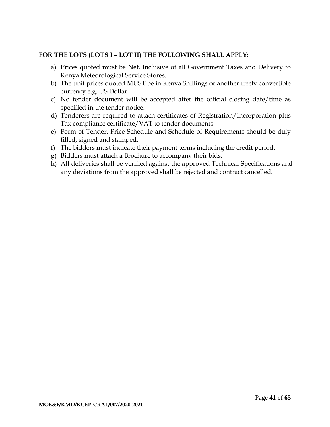#### **FOR THE LOTS (LOTS I – LOT II) THE FOLLOWING SHALL APPLY:**

- a) Prices quoted must be Net, Inclusive of all Government Taxes and Delivery to Kenya Meteorological Service Stores.
- b) The unit prices quoted MUST be in Kenya Shillings or another freely convertible currency e.g. US Dollar.
- c) No tender document will be accepted after the official closing date/time as specified in the tender notice.
- d) Tenderers are required to attach certificates of Registration/Incorporation plus Tax compliance certificate/VAT to tender documents
- e) Form of Tender, Price Schedule and Schedule of Requirements should be duly filled, signed and stamped.
- f) The bidders must indicate their payment terms including the credit period.
- g) Bidders must attach a Brochure to accompany their bids.
- h) All deliveries shall be verified against the approved Technical Specifications and any deviations from the approved shall be rejected and contract cancelled.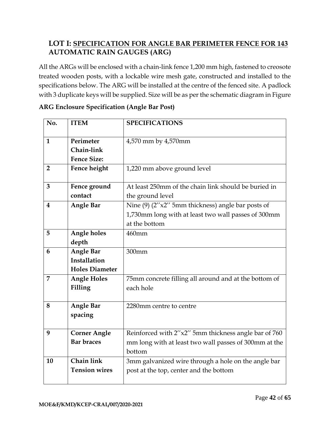# **LOT I: SPECIFICATION FOR ANGLE BAR PERIMETER FENCE FOR 143 AUTOMATIC RAIN GAUGES (ARG)**

All the ARGs will be enclosed with a chain-link fence 1,200 mm high, fastened to creosote treated wooden posts, with a lockable wire mesh gate, constructed and installed to the specifications below. The ARG will be installed at the centre of the fenced site. A padlock with 3 duplicate keys will be supplied. Size will be as per the schematic diagram in Figure

| No.                     | <b>ITEM</b>           | <b>SPECIFICATIONS</b>                                 |
|-------------------------|-----------------------|-------------------------------------------------------|
|                         |                       |                                                       |
| $\mathbf{1}$            | Perimeter             | 4,570 mm by 4,570mm                                   |
|                         | Chain-link            |                                                       |
|                         | <b>Fence Size:</b>    |                                                       |
| $\overline{2}$          | Fence height          | 1,220 mm above ground level                           |
|                         |                       |                                                       |
| 3                       | Fence ground          | At least 250mm of the chain link should be buried in  |
|                         | contact               | the ground level                                      |
| $\overline{\mathbf{4}}$ | <b>Angle Bar</b>      | Nine $(9)$ (2"x2" 5mm thickness) angle bar posts of   |
|                         |                       | 1,730mm long with at least two wall passes of 300mm   |
|                         |                       | at the bottom                                         |
| 5                       | Angle holes           | 460mm                                                 |
|                         | depth                 |                                                       |
| 6                       | <b>Angle Bar</b>      | 300mm                                                 |
|                         | Installation          |                                                       |
|                         | <b>Holes Diameter</b> |                                                       |
| $\overline{7}$          | <b>Angle Holes</b>    | 75mm concrete filling all around and at the bottom of |
|                         | Filling               | each hole                                             |
|                         |                       |                                                       |
| 8                       | <b>Angle Bar</b>      | 2280mm centre to centre                               |
|                         | spacing               |                                                       |
|                         |                       |                                                       |
| 9                       | <b>Corner Angle</b>   | Reinforced with 2"x2" 5mm thickness angle bar of 760  |
|                         | <b>Bar braces</b>     | mm long with at least two wall passes of 300mm at the |
|                         |                       | bottom                                                |
| 10                      | Chain link            | 3mm galvanized wire through a hole on the angle bar   |
|                         | <b>Tension wires</b>  | post at the top, center and the bottom                |
|                         |                       |                                                       |

### **ARG Enclosure Specification (Angle Bar Post)**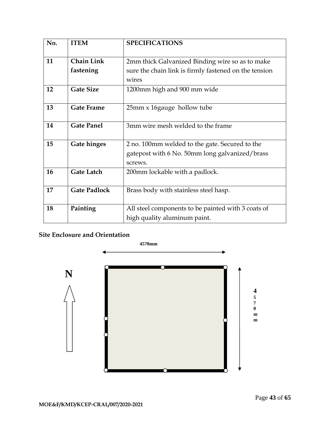| No. | <b>ITEM</b>         | <b>SPECIFICATIONS</b>                                 |
|-----|---------------------|-------------------------------------------------------|
|     |                     |                                                       |
| 11  | <b>Chain Link</b>   | 2mm thick Galvanized Binding wire so as to make       |
|     | fastening           | sure the chain link is firmly fastened on the tension |
|     |                     | wires                                                 |
| 12  | <b>Gate Size</b>    | 1200mm high and 900 mm wide                           |
|     |                     |                                                       |
| 13  | <b>Gate Frame</b>   | 25mm x 16gauge hollow tube                            |
|     |                     |                                                       |
| 14  | <b>Gate Panel</b>   | 3mm wire mesh welded to the frame                     |
|     |                     |                                                       |
| 15  | <b>Gate hinges</b>  | 2 no. 100mm welded to the gate. Secured to the        |
|     |                     | gatepost with 6 No. 50mm long galvanized/brass        |
|     |                     | screws.                                               |
| 16  | <b>Gate Latch</b>   | 200mm lockable with a padlock.                        |
|     |                     |                                                       |
| 17  | <b>Gate Padlock</b> | Brass body with stainless steel hasp.                 |
|     |                     |                                                       |
| 18  | Painting            | All steel components to be painted with 3 coats of    |
|     |                     | high quality aluminum paint.                          |

# **Site Enclosure and Orientation**

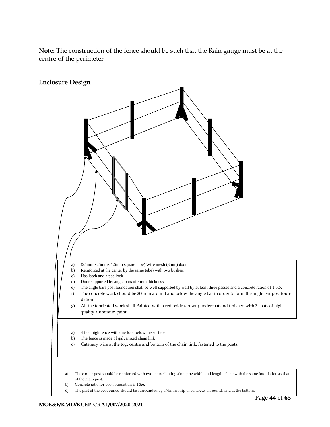**Note:** The construction of the fence should be such that the Rain gauge must be at the centre of the perimeter



Page **44** of **65**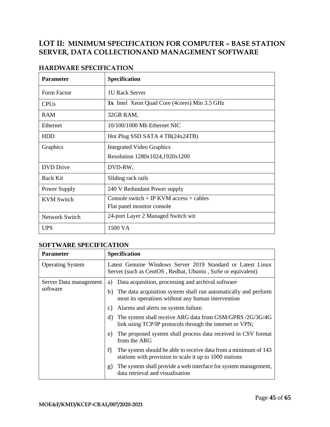# **LOT II: MINIMUM SPECIFICATION FOR COMPUTER – BASE STATION SERVER, DATA COLLECTIONAND MANAGEMENT SOFTWARE**

| <b>Parameter</b>  | <b>Specification</b>                                |
|-------------------|-----------------------------------------------------|
| Form Factor       | <b>1U Rack Server</b>                               |
| <b>CPUs</b>       | <b>1x</b> Intel Xeon Quad Core (4cores) Min 3.5 GHz |
| <b>RAM</b>        | 32GB RAM,                                           |
| Ethernet          | $10/100/1000$ Mb Ethernet NIC                       |
| <b>HDD</b>        | Hot Plug SSD SATA 4 TB(24x24TB)                     |
| Graphics          | <b>Integrated Video Graphics</b>                    |
|                   | Resolution 1280x1024,1920x1200                      |
| <b>DVD</b> Drive  | DVD-RW,                                             |
| Rack Kit          | Sliding rack rails                                  |
| Power Supply      | 240 V Redundant Power supply                        |
| <b>KVM</b> Switch | Console switch + IP KVM access + cables             |
|                   | Flat panel monitor console                          |
| Network Switch    | 24-port Layer 2 Managed Switch wit                  |
| <b>UPS</b>        | 1500 VA                                             |

# **HARDWARE SPECIFICATION**

#### **SOFTWARE SPECIFICATION**

| <b>Parameter</b>        | <b>Specification</b>                                                                                                             |  |
|-------------------------|----------------------------------------------------------------------------------------------------------------------------------|--|
| <b>Operating System</b> | Latest Genuine Windows Server 2019 Standard or Latest Linux<br>Server (such as CentOS, Redhat, Ubuntu, SuSe or equivalent)       |  |
| Server Data management  | Data acquisition, processing and archival software<br>a)                                                                         |  |
| software                | b) The data acquisition system shall run automatically and perform<br>most its operations without any human intervention         |  |
|                         | Alarms and alerts on system failure.<br>C)                                                                                       |  |
|                         | The system shall receive ARG data from GSM/GPRS /2G/3G/4G<br>d)<br>link using TCP/IP protocols through the internet or VPN;      |  |
|                         | The proposed system shall process data received in CSV format<br>e)<br>from the ARG                                              |  |
|                         | The system should be able to receive data from a minimum of 143<br>f)<br>stations with provision to scale it up to 1000 stations |  |
|                         | The system shall provide a web interface for system management,<br>g)<br>data retrieval and visualisation                        |  |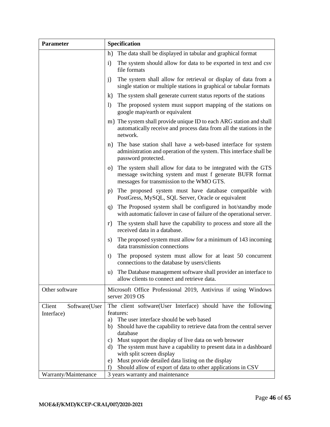| <b>Parameter</b>        | <b>Specification</b>                                                                                                                                                      |  |
|-------------------------|---------------------------------------------------------------------------------------------------------------------------------------------------------------------------|--|
|                         | The data shall be displayed in tabular and graphical format<br>h)                                                                                                         |  |
|                         | The system should allow for data to be exported in text and csv<br>i)<br>file formats                                                                                     |  |
|                         | The system shall allow for retrieval or display of data from a<br>j)<br>single station or multiple stations in graphical or tabular formats                               |  |
|                         | k)<br>The system shall generate current status reports of the stations                                                                                                    |  |
|                         | $\left( \right)$<br>The proposed system must support mapping of the stations on<br>google map/earth or equivalent                                                         |  |
|                         | m) The system shall provide unique ID to each ARG station and shall<br>automatically receive and process data from all the stations in the<br>network.                    |  |
|                         | n) The base station shall have a web-based interface for system<br>administration and operation of the system. This interface shall be<br>password protected.             |  |
|                         | o) The system shall allow for data to be integrated with the GTS<br>message switching system and must f generate BUFR format<br>messages for transmission to the WMO GTS. |  |
|                         | p) The proposed system must have database compatible with<br>PostGress, MySQL, SQL Server, Oracle or equivalent                                                           |  |
|                         | q) The Proposed system shall be configured in hot/standby mode<br>with automatic failover in case of failure of the operational server.                                   |  |
|                         | The system shall have the capability to process and store all the<br>r)<br>received data in a database.                                                                   |  |
|                         | The proposed system must allow for a minimum of 143 incoming<br>s)<br>data transmission connections                                                                       |  |
|                         | The proposed system must allow for at least 50 concurrent<br>t)<br>connections to the database by users/clients                                                           |  |
|                         | The Database management software shall provider an interface to<br>u)<br>allow clients to connect and retrieve data.                                                      |  |
| Other software          | Microsoft Office Professional 2019, Antivirus if using Windows<br>server 2019 OS                                                                                          |  |
| Client<br>Software(User | The client software(User Interface) should have the following                                                                                                             |  |
| Interface)              | features:                                                                                                                                                                 |  |
|                         | a) The user interface should be web based                                                                                                                                 |  |
|                         | Should have the capability to retrieve data from the central server<br>b)                                                                                                 |  |
|                         | database                                                                                                                                                                  |  |
|                         | c) Must support the display of live data on web browser<br>The system must have a capability to present data in a dashboard<br>d)                                         |  |
|                         | with split screen display                                                                                                                                                 |  |
|                         | Must provide detailed data listing on the display<br>e)                                                                                                                   |  |
|                         | Should allow of export of data to other applications in CSV<br>f)                                                                                                         |  |
| Warranty/Maintenance    | 3 years warranty and maintenance                                                                                                                                          |  |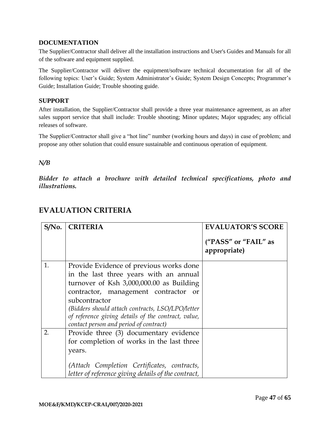#### <span id="page-48-0"></span>**DOCUMENTATION**

The Supplier/Contractor shall deliver all the installation instructions and User's Guides and Manuals for all of the software and equipment supplied.

The Supplier/Contractor will deliver the equipment/software technical documentation for all of the following topics: User's Guide; System Administrator's Guide; System Design Concepts; Programmer's Guide; Installation Guide; Trouble shooting guide.

#### <span id="page-48-1"></span>**SUPPORT**

After installation, the Supplier/Contractor shall provide a three year maintenance agreement, as an after sales support service that shall include: Trouble shooting; Minor updates; Major upgrades; any official releases of software.

The Supplier/Contractor shall give a "hot line" number (working hours and days) in case of problem; and propose any other solution that could ensure sustainable and continuous operation of equipment.

#### *N/B*

*Bidder to attach a brochure with detailed technical specifications, photo and illustrations.*

| $S/N0$ . | <b>CRITERIA</b>                                     | <b>EVALUATOR'S SCORE</b>             |
|----------|-----------------------------------------------------|--------------------------------------|
|          |                                                     | ("PASS" or "FAIL" as<br>appropriate) |
| 1.       | Provide Evidence of previous works done             |                                      |
|          | in the last three years with an annual              |                                      |
|          | turnover of Ksh 3,000,000.00 as Building            |                                      |
|          | contractor, management contractor<br><sub>or</sub>  |                                      |
|          | subcontractor                                       |                                      |
|          | (Bidders should attach contracts, LSO/LPO/letter)   |                                      |
|          | of reference giving details of the contract, value, |                                      |
|          | contact person and period of contract)              |                                      |
| 2.       | Provide three (3) documentary evidence              |                                      |
|          | for completion of works in the last three           |                                      |
|          | years.                                              |                                      |
|          | (Attach Completion Certificates, contracts,         |                                      |
|          | letter of reference giving details of the contract, |                                      |

# <span id="page-48-2"></span>**EVALUATION CRITERIA**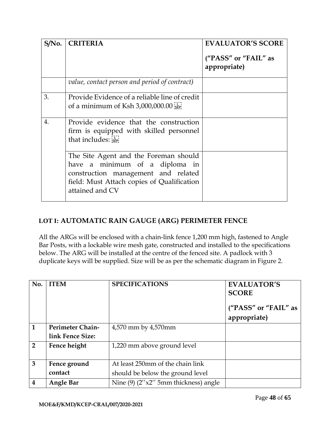| $S/N0$ . | <b>CRITERIA</b>                                                                                                                                                                 | <b>EVALUATOR'S SCORE</b><br>("PASS" or "FAIL" as<br>appropriate) |
|----------|---------------------------------------------------------------------------------------------------------------------------------------------------------------------------------|------------------------------------------------------------------|
|          | value, contact person and period of contract)                                                                                                                                   |                                                                  |
| 3.       | Provide Evidence of a reliable line of credit<br>of a minimum of Ksh $3,000,000.00$ see                                                                                         |                                                                  |
| 4.       | Provide evidence that the construction<br>firm is equipped with skilled personnel<br>that includes:                                                                             |                                                                  |
|          | The Site Agent and the Foreman should<br>have a minimum of a diploma in<br>construction management and related<br>field: Must Attach copies of Qualification<br>attained and CV |                                                                  |

# **LOT I: AUTOMATIC RAIN GAUGE (ARG) PERIMETER FENCE**

All the ARGs will be enclosed with a chain-link fence 1,200 mm high, fastened to Angle Bar Posts, with a lockable wire mesh gate, constructed and installed to the specifications below. The ARG will be installed at the centre of the fenced site. A padlock with 3 duplicate keys will be supplied. Size will be as per the schematic diagram in Figure 2.

| No.                     | <b>ITEM</b>      | <b>SPECIFICATIONS</b>                      | <b>EVALUATOR'S</b><br><b>SCORE</b> |
|-------------------------|------------------|--------------------------------------------|------------------------------------|
|                         |                  |                                            | ("PASS" or "FAIL" as               |
|                         |                  |                                            | appropriate)                       |
| 1                       | Perimeter Chain- | 4,570 mm by 4,570 mm                       |                                    |
|                         | link Fence Size: |                                            |                                    |
| $\mathcal{P}$           | Fence height     | 1,220 mm above ground level                |                                    |
|                         |                  |                                            |                                    |
| 3                       | Fence ground     | At least 250mm of the chain link           |                                    |
|                         | contact          | should be below the ground level           |                                    |
| $\overline{\mathbf{4}}$ | <b>Angle Bar</b> | Nine $(9)$ $(2''x2''$ 5mm thickness) angle |                                    |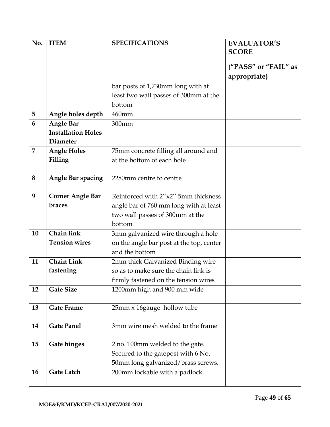| No. | <b>ITEM</b>               | <b>SPECIFICATIONS</b>                    | <b>EVALUATOR'S</b>   |
|-----|---------------------------|------------------------------------------|----------------------|
|     |                           |                                          | <b>SCORE</b>         |
|     |                           |                                          |                      |
|     |                           |                                          | ("PASS" or "FAIL" as |
|     |                           |                                          | appropriate)         |
|     |                           | bar posts of 1,730mm long with at        |                      |
|     |                           | least two wall passes of 300mm at the    |                      |
|     |                           | bottom                                   |                      |
| 5   | Angle holes depth         | 460mm                                    |                      |
| 6   | <b>Angle Bar</b>          | 300mm                                    |                      |
|     | <b>Installation Holes</b> |                                          |                      |
|     | <b>Diameter</b>           |                                          |                      |
| 7   | <b>Angle Holes</b>        | 75mm concrete filling all around and     |                      |
|     | Filling                   | at the bottom of each hole               |                      |
|     |                           |                                          |                      |
| 8   | <b>Angle Bar spacing</b>  | 2280mm centre to centre                  |                      |
|     |                           |                                          |                      |
| 9   | <b>Corner Angle Bar</b>   | Reinforced with 2"x2" 5mm thickness      |                      |
|     | braces                    | angle bar of 760 mm long with at least   |                      |
|     |                           | two wall passes of 300mm at the          |                      |
|     |                           | bottom                                   |                      |
| 10  | <b>Chain link</b>         | 3mm galvanized wire through a hole       |                      |
|     | <b>Tension wires</b>      | on the angle bar post at the top, center |                      |
|     |                           | and the bottom                           |                      |
| 11  | <b>Chain Link</b>         | 2mm thick Galvanized Binding wire        |                      |
|     | fastening                 | so as to make sure the chain link is     |                      |
|     |                           | firmly fastened on the tension wires     |                      |
| 12  | <b>Gate Size</b>          | 1200mm high and 900 mm wide              |                      |
|     |                           |                                          |                      |
| 13  | <b>Gate Frame</b>         | 25mm x 16gauge hollow tube               |                      |
|     |                           |                                          |                      |
| 14  | <b>Gate Panel</b>         | 3mm wire mesh welded to the frame        |                      |
|     |                           |                                          |                      |
| 15  | <b>Gate hinges</b>        | 2 no. 100mm welded to the gate.          |                      |
|     |                           | Secured to the gatepost with 6 No.       |                      |
|     |                           | 50mm long galvanized/brass screws.       |                      |
| 16  | <b>Gate Latch</b>         | 200mm lockable with a padlock.           |                      |
|     |                           |                                          |                      |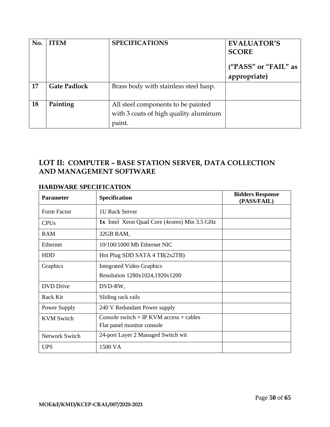| No. | <b>ITEM</b>         | <b>SPECIFICATIONS</b>                 | <b>EVALUATOR'S</b>                   |
|-----|---------------------|---------------------------------------|--------------------------------------|
|     |                     |                                       | <b>SCORE</b>                         |
|     |                     |                                       | ("PASS" or "FAIL" as<br>appropriate) |
| 17  | <b>Gate Padlock</b> | Brass body with stainless steel hasp. |                                      |
| 18  | Painting            | All steel components to be painted    |                                      |
|     |                     | with 3 coats of high quality aluminum |                                      |
|     |                     | paint.                                |                                      |

# **LOT II: COMPUTER – BASE STATION SERVER, DATA COLLECTION AND MANAGEMENT SOFTWARE**

| <b>Parameter</b>       | <b>Specification</b>                                | <b>Bidders Response</b><br>(PASS/FAIL) |
|------------------------|-----------------------------------------------------|----------------------------------------|
| Form Factor            | 1U Rack Server                                      |                                        |
| <b>CPU<sub>s</sub></b> | <b>1x</b> Intel Xeon Quad Core (4cores) Min 3.5 GHz |                                        |
| <b>RAM</b>             | 32GB RAM,                                           |                                        |
| Ethernet               | 10/100/1000 Mb Ethernet NIC                         |                                        |
| <b>HDD</b>             | Hot Plug SDD SATA 4 TB(2x2TB)                       |                                        |
| Graphics               | <b>Integrated Video Graphics</b>                    |                                        |
|                        | Resolution 1280x1024,1920x1200                      |                                        |
| <b>DVD</b> Drive       | DVD-RW,                                             |                                        |
| Rack Kit               | Sliding rack rails                                  |                                        |
| Power Supply           | 240 V Redundant Power supply                        |                                        |
| <b>KVM Switch</b>      | Console switch $+$ IP KVM access $+$ cables         |                                        |
|                        | Flat panel monitor console                          |                                        |
| Network Switch         | 24-port Layer 2 Managed Switch wit                  |                                        |
| <b>UPS</b>             | 1500 VA                                             |                                        |

# **HARDWARE SPECIFICATION**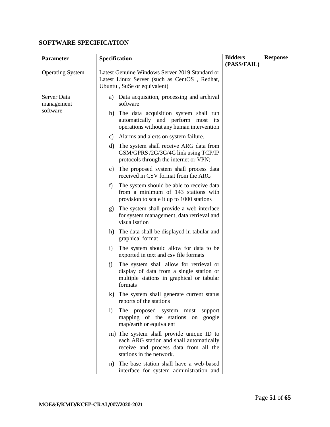# **SOFTWARE SPECIFICATION**

| Parameter                 | Specification                                                                                                                                             | <b>Bidders</b><br><b>Response</b><br>(PASS/FAIL) |
|---------------------------|-----------------------------------------------------------------------------------------------------------------------------------------------------------|--------------------------------------------------|
| <b>Operating System</b>   | Latest Genuine Windows Server 2019 Standard or<br>Latest Linux Server (such as CentOS, Redhat,<br>Ubuntu, SuSe or equivalent)                             |                                                  |
| Server Data<br>management | a) Data acquisition, processing and archival<br>software                                                                                                  |                                                  |
| software                  | b) The data acquisition system shall run<br>automatically and perform most its<br>operations without any human intervention                               |                                                  |
|                           | c) Alarms and alerts on system failure.                                                                                                                   |                                                  |
|                           | The system shall receive ARG data from<br>d)<br>GSM/GPRS /2G/3G/4G link using TCP/IP<br>protocols through the internet or VPN;                            |                                                  |
|                           | The proposed system shall process data<br>e)<br>received in CSV format from the ARG                                                                       |                                                  |
|                           | f)<br>The system should be able to receive data<br>from a minimum of 143 stations with<br>provision to scale it up to 1000 stations                       |                                                  |
|                           | The system shall provide a web interface<br>g)<br>for system management, data retrieval and<br>visualisation                                              |                                                  |
|                           | h) The data shall be displayed in tabular and<br>graphical format                                                                                         |                                                  |
|                           | The system should allow for data to be<br>$i$ )<br>exported in text and csv file formats                                                                  |                                                  |
|                           | The system shall allow for retrieval or<br>j)<br>display of data from a single station or<br>multiple stations in graphical or tabular<br>formats         |                                                  |
|                           | k) The system shall generate current status<br>reports of the stations                                                                                    |                                                  |
|                           | The proposed system must<br>$\left  \right $<br>support<br>mapping of the stations on<br>google<br>map/earth or equivalent                                |                                                  |
|                           | m) The system shall provide unique ID to<br>each ARG station and shall automatically<br>receive and process data from all the<br>stations in the network. |                                                  |
|                           | The base station shall have a web-based<br>n)<br>interface for system administration and                                                                  |                                                  |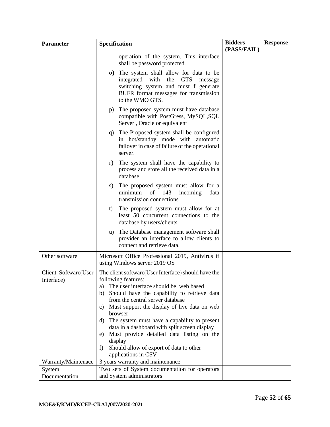| <b>Parameter</b>                   | Specification                                                                                                                                                                                                                                                                                                                                                                                                                                                                                                                  | <b>Bidders</b><br>(PASS/FAIL) | <b>Response</b> |
|------------------------------------|--------------------------------------------------------------------------------------------------------------------------------------------------------------------------------------------------------------------------------------------------------------------------------------------------------------------------------------------------------------------------------------------------------------------------------------------------------------------------------------------------------------------------------|-------------------------------|-----------------|
|                                    | operation of the system. This interface<br>shall be password protected.                                                                                                                                                                                                                                                                                                                                                                                                                                                        |                               |                 |
|                                    | o) The system shall allow for data to be<br>integrated with<br>the<br><b>GTS</b><br>message<br>switching system and must f generate<br>BUFR format messages for transmission<br>to the WMO GTS.                                                                                                                                                                                                                                                                                                                                |                               |                 |
|                                    | The proposed system must have database<br>p)<br>compatible with PostGress, MySQL, SQL<br>Server, Oracle or equivalent                                                                                                                                                                                                                                                                                                                                                                                                          |                               |                 |
|                                    | The Proposed system shall be configured<br>q)<br>in hot/standby mode with automatic<br>failover in case of failure of the operational<br>server.                                                                                                                                                                                                                                                                                                                                                                               |                               |                 |
|                                    | The system shall have the capability to<br>r)<br>process and store all the received data in a<br>database.                                                                                                                                                                                                                                                                                                                                                                                                                     |                               |                 |
|                                    | The proposed system must allow for a<br>S)<br>143<br>minimum<br>of<br>incoming<br>data<br>transmission connections                                                                                                                                                                                                                                                                                                                                                                                                             |                               |                 |
|                                    | The proposed system must allow for at<br>t)<br>least 50 concurrent connections to the<br>database by users/clients                                                                                                                                                                                                                                                                                                                                                                                                             |                               |                 |
|                                    | The Database management software shall<br>u)<br>provider an interface to allow clients to<br>connect and retrieve data.                                                                                                                                                                                                                                                                                                                                                                                                        |                               |                 |
| Other software                     | Microsoft Office Professional 2019, Antivirus if<br>using Windows server 2019 OS                                                                                                                                                                                                                                                                                                                                                                                                                                               |                               |                 |
| Client Software(User<br>Interface) | The client software (User Interface) should have the<br>following features:<br>The user interface should be web based<br>a)<br>Should have the capability to retrieve data<br>b)<br>from the central server database<br>Must support the display of live data on web<br>C)<br>browser<br>d) The system must have a capability to present<br>data in a dashboard with split screen display<br>Must provide detailed data listing on the<br>e)<br>display<br>Should allow of export of data to other<br>f<br>applications in CSV |                               |                 |
| Warranty/Maintenace                | 3 years warranty and maintenance                                                                                                                                                                                                                                                                                                                                                                                                                                                                                               |                               |                 |
| System<br>Documentation            | Two sets of System documentation for operators<br>and System administrators                                                                                                                                                                                                                                                                                                                                                                                                                                                    |                               |                 |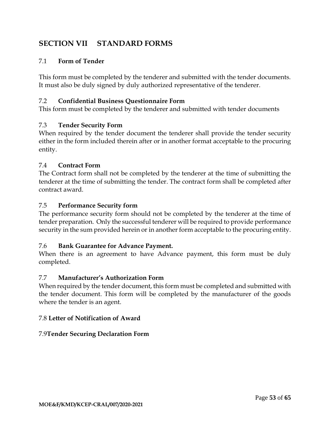# <span id="page-54-0"></span>**SECTION VII STANDARD FORMS**

### 7.1 **Form of Tender**

This form must be completed by the tenderer and submitted with the tender documents. It must also be duly signed by duly authorized representative of the tenderer.

#### 7.2 **Confidential Business Questionnaire Form**

This form must be completed by the tenderer and submitted with tender documents

#### 7.3 **Tender Security Form**

When required by the tender document the tenderer shall provide the tender security either in the form included therein after or in another format acceptable to the procuring entity.

#### 7.4 **Contract Form**

The Contract form shall not be completed by the tenderer at the time of submitting the tenderer at the time of submitting the tender. The contract form shall be completed after contract award.

#### 7.5 **Performance Security form**

The performance security form should not be completed by the tenderer at the time of tender preparation. Only the successful tenderer will be required to provide performance security in the sum provided herein or in another form acceptable to the procuring entity.

#### 7.6 **Bank Guarantee for Advance Payment.**

When there is an agreement to have Advance payment, this form must be duly completed.

#### 7.7 **Manufacturer's Authorization Form**

When required by the tender document, this form must be completed and submitted with the tender document. This form will be completed by the manufacturer of the goods where the tender is an agent.

#### 7.8 **Letter of Notification of Award**

#### 7.9**Tender Securing Declaration Form**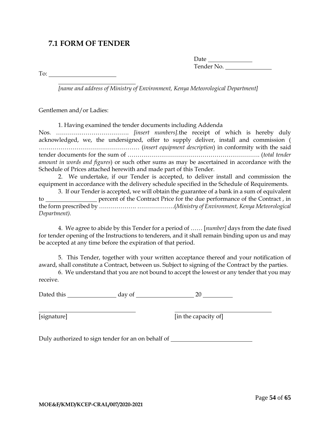# <span id="page-55-0"></span>**7.1 FORM OF TENDER**

Date Tender No.

To:

*[name and address of Ministry of Environment, Kenya Meteorological Department]*

Gentlemen and/or Ladies:

| 1. Having examined the tender documents including Addenda                                                                                                                                                                       |
|---------------------------------------------------------------------------------------------------------------------------------------------------------------------------------------------------------------------------------|
|                                                                                                                                                                                                                                 |
| acknowledged, we, the undersigned, offer to supply deliver, install and commission (                                                                                                                                            |
|                                                                                                                                                                                                                                 |
|                                                                                                                                                                                                                                 |
| <i>amount in words and figures</i> ) or such other sums as may be ascertained in accordance with the                                                                                                                            |
| Schedule of Prices attached herewith and made part of this Tender.                                                                                                                                                              |
| $\sim$ Titlet 1 and 1 and 1 and 1 and 1 and 1 and 1 and 1 and 1 and 1 and 1 and 1 and 1 and 1 and 1 and 1 and 1 and 1 and 1 and 1 and 1 and 1 and 1 and 1 and 1 and 1 and 1 and 1 and 1 and 1 and 1 and 1 and 1 and 1 and 1 and |

2. We undertake, if our Tender is accepted, to deliver install and commission the equipment in accordance with the delivery schedule specified in the Schedule of Requirements.

3. If our Tender is accepted, we will obtain the guarantee of a bank in a sum of equivalent to percent of the Contract Price for the due performance of the Contract , in the form prescribed by ………………. ……………….(*Ministry of Environment, Kenya Meteorological Department).*

4. We agree to abide by this Tender for a period of …… [*number]* days from the date fixed for tender opening of the Instructions to tenderers, and it shall remain binding upon us and may be accepted at any time before the expiration of that period.

5. This Tender, together with your written acceptance thereof and your notification of award, shall constitute a Contract, between us. Subject to signing of the Contract by the parties.

6. We understand that you are not bound to accept the lowest or any tender that you may receive.

Dated this day of 20

[signature] **[60]** [in the capacity of]

Duly authorized to sign tender for an on behalf of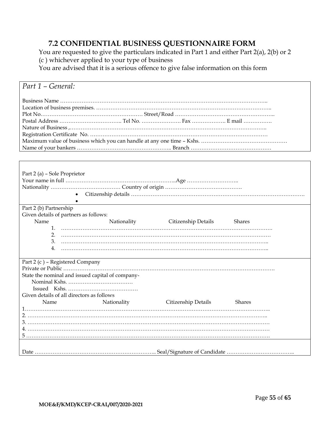# **7.2 CONFIDENTIAL BUSINESS QUESTIONNAIRE FORM**

<span id="page-56-0"></span>You are requested to give the particulars indicated in Part 1 and either Part 2(a), 2(b) or 2 (c ) whichever applied to your type of business

You are advised that it is a serious offence to give false information on this form

| Part 1 - General:                                |             |                                 |        |  |  |  |
|--------------------------------------------------|-------------|---------------------------------|--------|--|--|--|
|                                                  |             |                                 |        |  |  |  |
|                                                  |             |                                 |        |  |  |  |
|                                                  |             |                                 |        |  |  |  |
|                                                  |             |                                 |        |  |  |  |
|                                                  |             |                                 |        |  |  |  |
|                                                  |             |                                 |        |  |  |  |
|                                                  |             |                                 |        |  |  |  |
|                                                  |             |                                 |        |  |  |  |
|                                                  |             |                                 |        |  |  |  |
|                                                  |             |                                 |        |  |  |  |
|                                                  |             |                                 |        |  |  |  |
| Part 2 (a) – Sole Proprietor                     |             |                                 |        |  |  |  |
|                                                  |             |                                 |        |  |  |  |
|                                                  |             |                                 |        |  |  |  |
|                                                  |             |                                 |        |  |  |  |
|                                                  |             |                                 |        |  |  |  |
| Part 2 (b) Partnership                           |             |                                 |        |  |  |  |
| Given details of partners as follows:            |             |                                 |        |  |  |  |
| Name                                             |             | Nationality Citizenship Details | Shares |  |  |  |
|                                                  |             |                                 |        |  |  |  |
| 2.                                               |             |                                 |        |  |  |  |
| 3.                                               |             |                                 |        |  |  |  |
| 4.                                               |             |                                 |        |  |  |  |
|                                                  |             |                                 |        |  |  |  |
| Part 2 (c) - Registered Company                  |             |                                 |        |  |  |  |
|                                                  |             |                                 |        |  |  |  |
| State the nominal and issued capital of company- |             |                                 |        |  |  |  |
|                                                  |             |                                 |        |  |  |  |
|                                                  |             |                                 |        |  |  |  |
| Given details of all directors as follows        |             |                                 |        |  |  |  |
| Name                                             | Nationality | Citizenship Details             | Shares |  |  |  |
|                                                  |             |                                 |        |  |  |  |
|                                                  |             |                                 |        |  |  |  |
|                                                  |             |                                 |        |  |  |  |
|                                                  |             |                                 |        |  |  |  |
|                                                  |             |                                 |        |  |  |  |
|                                                  |             |                                 |        |  |  |  |
|                                                  |             |                                 |        |  |  |  |
|                                                  |             |                                 |        |  |  |  |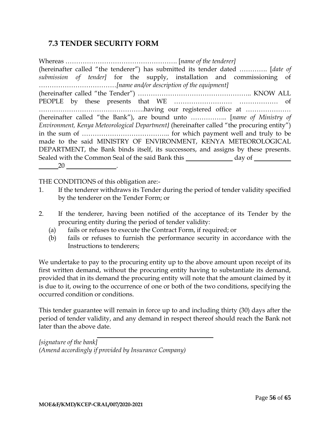# <span id="page-57-0"></span>**7.3 TENDER SECURITY FORM**

Whereas ……………………………………………. [*name of the tenderer]* (hereinafter called "the tenderer") has submitted its tender dated …………. [*date of submission of tender]* for the supply, installation and commissioning of ………………………………*[name and/or description of the equipment]* (hereinafter called "the Tender") …………………………………………….. KNOW ALL PEOPLE by these presents that WE ……………………… ……………… of ………………………………………….having our registered office at ………………… (hereinafter called "the Bank"), are bound unto …………….. [*name of Ministry of Environment, Kenya Meteorological Department}* (hereinafter called "the procuring entity") in the sum of ………………………………….. for which payment well and truly to be made to the said MINISTRY OF ENVIRONMENT, KENYA METEOROLOGICAL DEPARTMENT, the Bank binds itself, its successors, and assigns by these presents. Sealed with the Common Seal of the said Bank this day of 20 .

THE CONDITIONS of this obligation are:-

- 1. If the tenderer withdraws its Tender during the period of tender validity specified by the tenderer on the Tender Form; or
- 2. If the tenderer, having been notified of the acceptance of its Tender by the procuring entity during the period of tender validity:
	- (a) fails or refuses to execute the Contract Form, if required; or
	- (b) fails or refuses to furnish the performance security in accordance with the Instructions to tenderers;

We undertake to pay to the procuring entity up to the above amount upon receipt of its first written demand, without the procuring entity having to substantiate its demand, provided that in its demand the procuring entity will note that the amount claimed by it is due to it, owing to the occurrence of one or both of the two conditions, specifying the occurred condition or conditions.

This tender guarantee will remain in force up to and including thirty (30) days after the period of tender validity, and any demand in respect thereof should reach the Bank not later than the above date.

*[signature of the bank] (Amend accordingly if provided by Insurance Company)*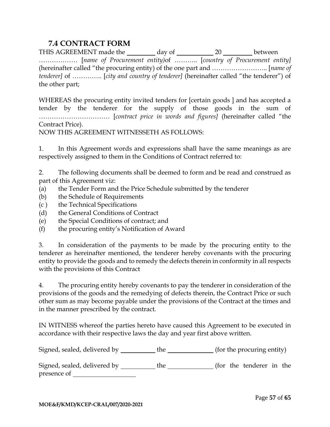# **7.4 CONTRACT FORM**

<span id="page-58-0"></span>THIS AGREEMENT made the \_\_\_\_\_\_\_\_ day of \_\_\_\_\_\_\_\_\_\_\_ 20 \_\_\_\_\_\_\_\_ between ……………… [*name of Procurement entity)*of ……….. [*country of Procurement entity]* (hereinafter called "the procuring entity) of the one part and …………………….. [*name of tenderer]* of ………….. [*city and country of tenderer]* (hereinafter called "the tenderer") of the other part;

WHEREAS the procuring entity invited tenders for [certain goods ] and has accepted a tender by the tenderer for the supply of those goods in the sum of …………………………… [*contract price in words and figures]* (hereinafter called "the Contract Price).

NOW THIS AGREEMENT WITNESSETH AS FOLLOWS:

1. In this Agreement words and expressions shall have the same meanings as are respectively assigned to them in the Conditions of Contract referred to:

2. The following documents shall be deemed to form and be read and construed as part of this Agreement viz:

- (a) the Tender Form and the Price Schedule submitted by the tenderer
- (b) the Schedule of Requirements
- (c ) the Technical Specifications
- (d) the General Conditions of Contract
- (e) the Special Conditions of contract; and
- (f) the procuring entity's Notification of Award

3. In consideration of the payments to be made by the procuring entity to the tenderer as hereinafter mentioned, the tenderer hereby covenants with the procuring entity to provide the goods and to remedy the defects therein in conformity in all respects with the provisions of this Contract

4. The procuring entity hereby covenants to pay the tenderer in consideration of the provisions of the goods and the remedying of defects therein, the Contract Price or such other sum as may become payable under the provisions of the Contract at the times and in the manner prescribed by the contract.

IN WITNESS whereof the parties hereto have caused this Agreement to be executed in accordance with their respective laws the day and year first above written.

Signed, sealed, delivered by the (for the procuring entity)

Signed, sealed, delivered by the tenderer in the (for the tenderer in the presence of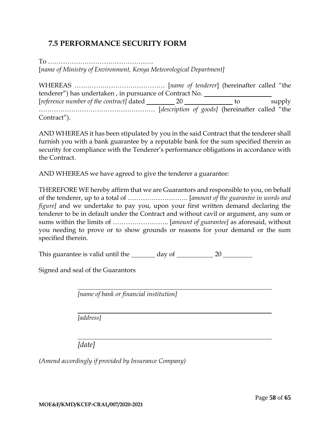# <span id="page-59-0"></span>**7.5 PERFORMANCE SECURITY FORM**

To …………………………………………. [*name of Ministry of Environment, Kenya Meteorological Department]*

| tenderer") has undertaken, in pursuance of Contract No. |  |    |        |  |  |
|---------------------------------------------------------|--|----|--------|--|--|
| [reference number of the contract] dated 20             |  | to | supply |  |  |
|                                                         |  |    |        |  |  |
| Contract").                                             |  |    |        |  |  |

AND WHEREAS it has been stipulated by you in the said Contract that the tenderer shall furnish you with a bank guarantee by a reputable bank for the sum specified therein as security for compliance with the Tenderer's performance obligations in accordance with the Contract.

AND WHEREAS we have agreed to give the tenderer a guarantee:

THEREFORE WE hereby affirm that we are Guarantors and responsible to you, on behalf of the tenderer, up to a total of ………………………. [*amount of the guarantee in words and figure]* and we undertake to pay you, upon your first written demand declaring the tenderer to be in default under the Contract and without cavil or argument, any sum or sums within the limits of …………………….. [*amount of guarantee]* as aforesaid, without you needing to prove or to show grounds or reasons for your demand or the sum specified therein.

This guarantee is valid until the  $\_\_\_\_\$  day of  $\_\_\_\_\_$  20  $\_\_\_\_\_\_$ 

Signed and seal of the Guarantors

*[name of bank or financial institution]*

*[address]*

*[date]*

*(Amend accordingly if provided by Insurance Company)*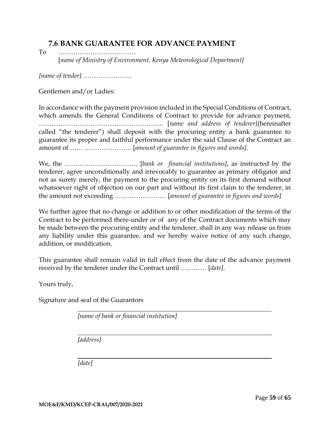# <span id="page-60-0"></span>**7.6 BANK GUARANTEE FOR ADVANCE PAYMENT**

To ……………………………… [*name of Ministry of Environment, Kenya Meteorological Department]*

*[name of tender] …………………..*

Gentlemen and/or Ladies:

In accordance with the payment provision included in the Special Conditions of Contract, which amends the General Conditions of Contract to provide for advance payment, …………………………………………………. [*name and address of tenderer]*(hereinafter called "the tenderer") shall deposit with the procuring entity a bank guarantee to guarantee its proper and faithful performance under the said Clause of the Contract an amount of …… …………………. [*amount of guarantee in figures and words].*

We, the ……………………………. [*bank or financial institutions]*, as instructed by the tenderer, agree unconditionally and irrevocably to guarantee as primary obligator and not as surety merely, the payment to the procuring entity on its first demand without whatsoever right of objection on our part and without its first claim to the tenderer, in the amount not exceeding …………………… [*amount of guarantee in figures and words]*

We further agree that no change or addition to or other modification of the terms of the Contract to be performed there-under or of any of the Contract documents which may be made between the procuring entity and the tenderer, shall in any way release us from any liability under this guarantee, and we hereby waive notice of any such change, addition, or modification.

This guarantee shall remain valid in full effect from the date of the advance payment received by the tenderer under the Contract until ………… [*date]*.

Yours truly,

Signature and seal of the Guarantors

*[name of bank or financial institution]*

*[address]*

*[date]*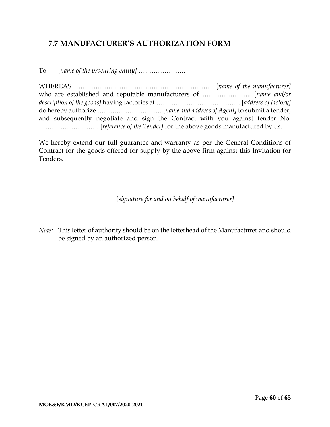# <span id="page-61-0"></span>**7.7 MANUFACTURER'S AUTHORIZATION FORM**

To [*name of the procuring entity] ………………….*

| and subsequently negotiate and sign the Contract with you against tender No. |
|------------------------------------------------------------------------------|
|                                                                              |

We hereby extend our full guarantee and warranty as per the General Conditions of Contract for the goods offered for supply by the above firm against this Invitation for Tenders.

[*signature for and on behalf of manufacturer]*

*Note:* This letter of authority should be on the letterhead of the Manufacturer and should be signed by an authorized person.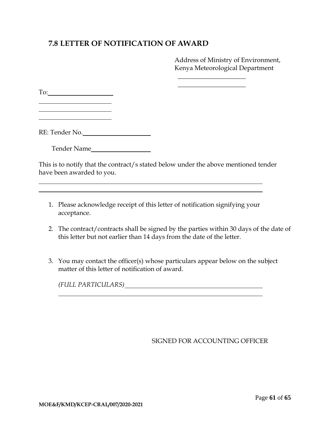# <span id="page-62-0"></span>**7.8 LETTER OF NOTIFICATION OF AWARD**

Address of Ministry of Environment, Kenya Meteorological Department

 $\overline{\phantom{a}}$  , where  $\overline{\phantom{a}}$  , where  $\overline{\phantom{a}}$  $\overline{\phantom{a}}$  , where  $\overline{\phantom{a}}$  , where  $\overline{\phantom{a}}$ 

To:

<u> 1990 - Johann Barbara, martin a</u>

RE: Tender No.

Tender Name

This is to notify that the contract/s stated below under the above mentioned tender have been awarded to you.

- 1. Please acknowledge receipt of this letter of notification signifying your acceptance.
- 2. The contract/contracts shall be signed by the parties within 30 days of the date of this letter but not earlier than 14 days from the date of the letter.
- 3. You may contact the officer(s) whose particulars appear below on the subject matter of this letter of notification of award.

*(FULL PARTICULARS)*

#### SIGNED FOR ACCOUNTING OFFICER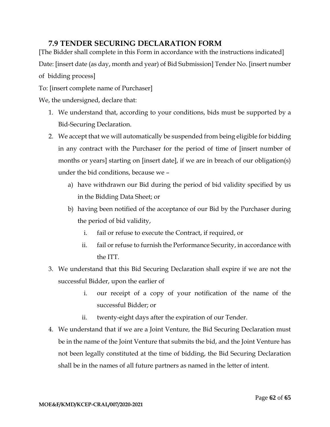# **7.9 TENDER SECURING DECLARATION FORM**

<span id="page-63-0"></span>[The Bidder shall complete in this Form in accordance with the instructions indicated] Date: [insert date (as day, month and year) of Bid Submission] Tender No. [insert number of bidding process]

To: [insert complete name of Purchaser]

We, the undersigned, declare that:

- 1. We understand that, according to your conditions, bids must be supported by a Bid-Securing Declaration.
- 2. We accept that we will automatically be suspended from being eligible for bidding in any contract with the Purchaser for the period of time of [insert number of months or years] starting on [insert date], if we are in breach of our obligation(s) under the bid conditions, because we –
	- a) have withdrawn our Bid during the period of bid validity specified by us in the Bidding Data Sheet; or
	- b) having been notified of the acceptance of our Bid by the Purchaser during the period of bid validity,
		- i. fail or refuse to execute the Contract, if required, or
		- ii. fail or refuse to furnish the Performance Security, in accordance with the ITT.
- 3. We understand that this Bid Securing Declaration shall expire if we are not the successful Bidder, upon the earlier of
	- i. our receipt of a copy of your notification of the name of the successful Bidder; or
	- ii. twenty-eight days after the expiration of our Tender.
- 4. We understand that if we are a Joint Venture, the Bid Securing Declaration must be in the name of the Joint Venture that submits the bid, and the Joint Venture has not been legally constituted at the time of bidding, the Bid Securing Declaration shall be in the names of all future partners as named in the letter of intent.